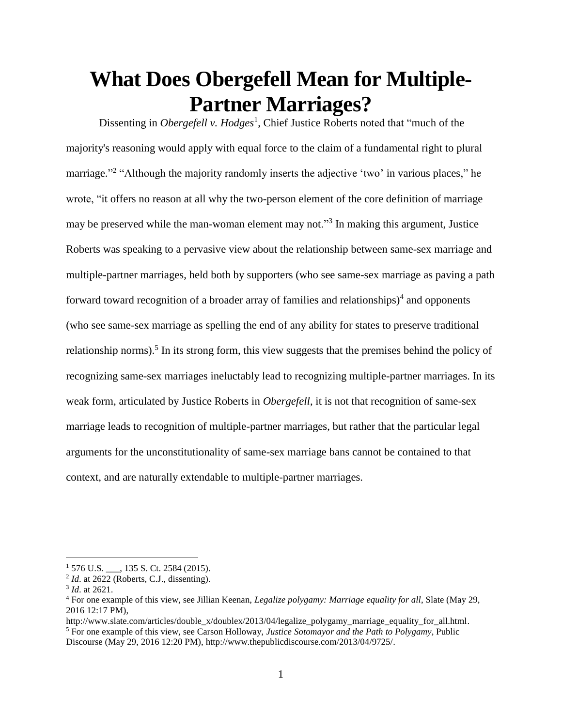# **What Does Obergefell Mean for Multiple-Partner Marriages?**

Dissenting in *Obergefell v. Hodges<sup>1</sup>*, Chief Justice Roberts noted that "much of the majority's reasoning would apply with equal force to the claim of a fundamental right to plural marriage."<sup>2</sup> "Although the majority randomly inserts the adjective 'two' in various places," he wrote, "it offers no reason at all why the two-person element of the core definition of marriage may be preserved while the man-woman element may not."<sup>3</sup> In making this argument, Justice Roberts was speaking to a pervasive view about the relationship between same-sex marriage and multiple-partner marriages, held both by supporters (who see same-sex marriage as paving a path forward toward recognition of a broader array of families and relationships) $4$  and opponents (who see same-sex marriage as spelling the end of any ability for states to preserve traditional relationship norms).<sup>5</sup> In its strong form, this view suggests that the premises behind the policy of recognizing same-sex marriages ineluctably lead to recognizing multiple-partner marriages. In its weak form, articulated by Justice Roberts in *Obergefell*, it is not that recognition of same-sex marriage leads to recognition of multiple-partner marriages, but rather that the particular legal arguments for the unconstitutionality of same-sex marriage bans cannot be contained to that context, and are naturally extendable to multiple-partner marriages.

 $1\,576$  U.S.  $\qquad$ , 135 S. Ct. 2584 (2015).

 $2^2$  *Id.* at 2622 (Roberts, C.J., dissenting).

<sup>3</sup> *Id*. at 2621.

<sup>4</sup> For one example of this view, see Jillian Keenan, *Legalize polygamy: Marriage equality for all*, Slate (May 29, 2016 12:17 PM),

http://www.slate.com/articles/doublex/doublex/2013/04/legalize\_polygamy\_marriage\_equality\_for\_all.html. <sup>5</sup> For one example of this view, see Carson Holloway, *Justice Sotomayor and the Path to Polygamy*, Public Discourse (May 29, 2016 12:20 PM), http://www.thepublicdiscourse.com/2013/04/9725/.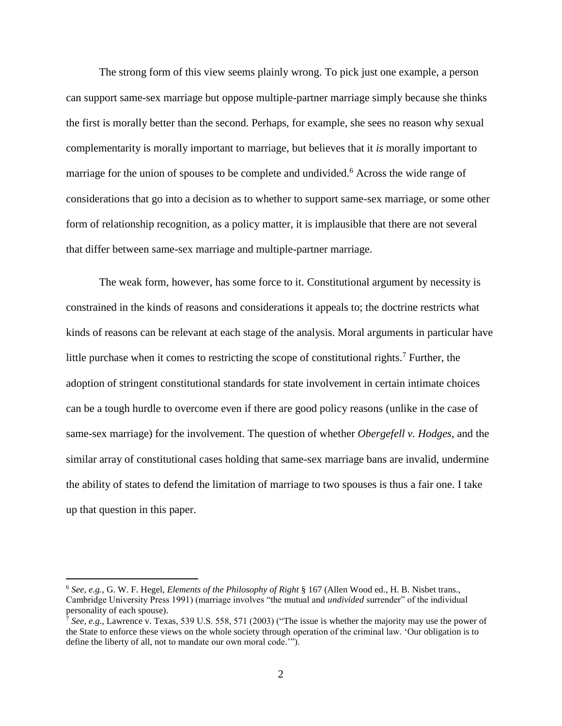The strong form of this view seems plainly wrong. To pick just one example, a person can support same-sex marriage but oppose multiple-partner marriage simply because she thinks the first is morally better than the second. Perhaps, for example, she sees no reason why sexual complementarity is morally important to marriage, but believes that it *is* morally important to marriage for the union of spouses to be complete and undivided.<sup>6</sup> Across the wide range of considerations that go into a decision as to whether to support same-sex marriage, or some other form of relationship recognition, as a policy matter, it is implausible that there are not several that differ between same-sex marriage and multiple-partner marriage.

The weak form, however, has some force to it. Constitutional argument by necessity is constrained in the kinds of reasons and considerations it appeals to; the doctrine restricts what kinds of reasons can be relevant at each stage of the analysis. Moral arguments in particular have little purchase when it comes to restricting the scope of constitutional rights.<sup>7</sup> Further, the adoption of stringent constitutional standards for state involvement in certain intimate choices can be a tough hurdle to overcome even if there are good policy reasons (unlike in the case of same-sex marriage) for the involvement. The question of whether *Obergefell v. Hodges*, and the similar array of constitutional cases holding that same-sex marriage bans are invalid, undermine the ability of states to defend the limitation of marriage to two spouses is thus a fair one. I take up that question in this paper.

<sup>6</sup> *See, e.g.,* G. W. F. Hegel, *Elements of the Philosophy of Right* § 167 (Allen Wood ed., H. B. Nisbet trans., Cambridge University Press 1991) (marriage involves "the mutual and *undivided* surrender" of the individual personality of each spouse).

 $^7$  *See, e.g.*, Lawrence v. Texas, 539 U.S. 558, 571 (2003) ("The issue is whether the majority may use the power of the State to enforce these views on the whole society through operation of the criminal law. 'Our obligation is to define the liberty of all, not to mandate our own moral code.'").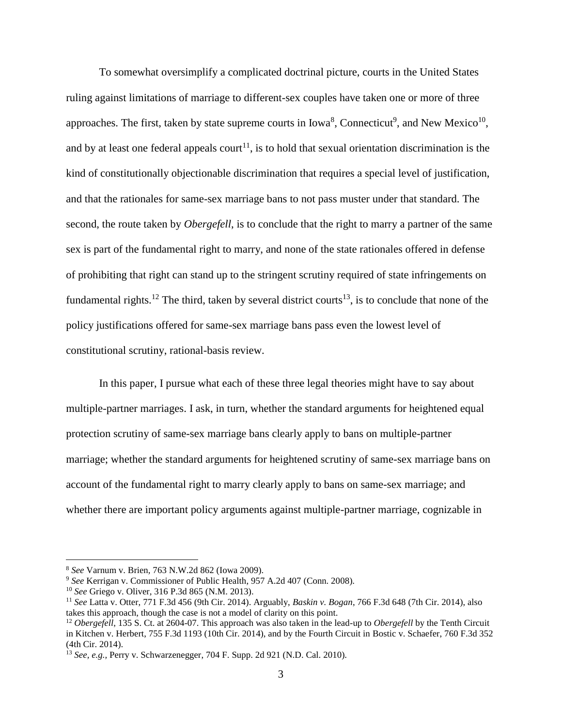To somewhat oversimplify a complicated doctrinal picture, courts in the United States ruling against limitations of marriage to different-sex couples have taken one or more of three approaches. The first, taken by state supreme courts in  $Iowa<sup>8</sup>$ , Connecticut<sup>9</sup>, and New Mexico<sup>10</sup>, and by at least one federal appeals court<sup>11</sup>, is to hold that sexual orientation discrimination is the kind of constitutionally objectionable discrimination that requires a special level of justification, and that the rationales for same-sex marriage bans to not pass muster under that standard. The second, the route taken by *Obergefell*, is to conclude that the right to marry a partner of the same sex is part of the fundamental right to marry, and none of the state rationales offered in defense of prohibiting that right can stand up to the stringent scrutiny required of state infringements on fundamental rights.<sup>12</sup> The third, taken by several district courts<sup>13</sup>, is to conclude that none of the policy justifications offered for same-sex marriage bans pass even the lowest level of constitutional scrutiny, rational-basis review.

In this paper, I pursue what each of these three legal theories might have to say about multiple-partner marriages. I ask, in turn, whether the standard arguments for heightened equal protection scrutiny of same-sex marriage bans clearly apply to bans on multiple-partner marriage; whether the standard arguments for heightened scrutiny of same-sex marriage bans on account of the fundamental right to marry clearly apply to bans on same-sex marriage; and whether there are important policy arguments against multiple-partner marriage, cognizable in

<sup>8</sup> *See* Varnum v. Brien*,* 763 N.W.2d 862 (Iowa 2009).

<sup>9</sup> *See* Kerrigan v. Commissioner of Public Health, 957 A.2d 407 (Conn. 2008).

<sup>10</sup> *See* Griego v. Oliver*,* 316 P.3d 865 (N.M. 2013).

<sup>11</sup> *See* Latta v. Otter, 771 F.3d 456 (9th Cir. 2014). Arguably, *Baskin v. Bogan*, 766 F.3d 648 (7th Cir. 2014), also takes this approach, though the case is not a model of clarity on this point.

<sup>12</sup> *Obergefell*, 135 S. Ct. at 2604-07. This approach was also taken in the lead-up to *Obergefell* by the Tenth Circuit in Kitchen v. Herbert, 755 F.3d 1193 (10th Cir. 2014), and by the Fourth Circuit in Bostic v. Schaefer, 760 F.3d 352 (4th Cir. 2014).

<sup>13</sup> *See, e.g.,* Perry v. Schwarzenegger, 704 F. Supp. 2d 921 (N.D. Cal. 2010).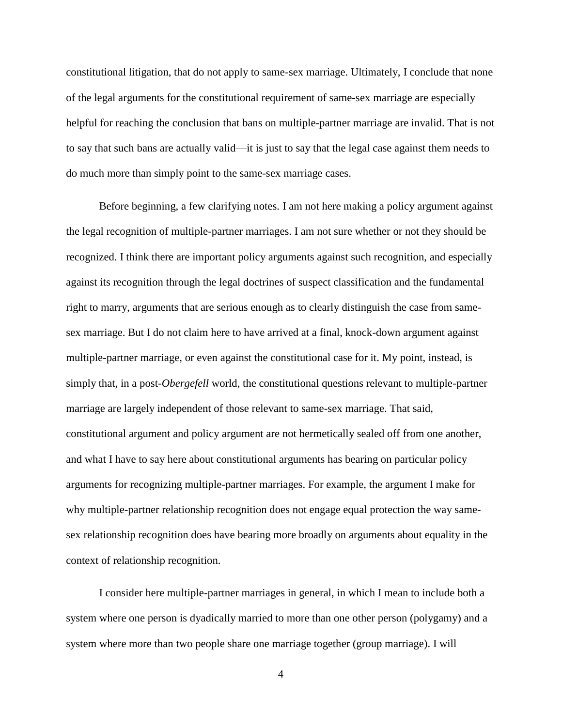constitutional litigation, that do not apply to same-sex marriage. Ultimately, I conclude that none of the legal arguments for the constitutional requirement of same-sex marriage are especially helpful for reaching the conclusion that bans on multiple-partner marriage are invalid. That is not to say that such bans are actually valid—it is just to say that the legal case against them needs to do much more than simply point to the same-sex marriage cases.

Before beginning, a few clarifying notes. I am not here making a policy argument against the legal recognition of multiple-partner marriages. I am not sure whether or not they should be recognized. I think there are important policy arguments against such recognition, and especially against its recognition through the legal doctrines of suspect classification and the fundamental right to marry, arguments that are serious enough as to clearly distinguish the case from samesex marriage. But I do not claim here to have arrived at a final, knock-down argument against multiple-partner marriage, or even against the constitutional case for it. My point, instead, is simply that, in a post-*Obergefell* world, the constitutional questions relevant to multiple-partner marriage are largely independent of those relevant to same-sex marriage. That said, constitutional argument and policy argument are not hermetically sealed off from one another, and what I have to say here about constitutional arguments has bearing on particular policy arguments for recognizing multiple-partner marriages. For example, the argument I make for why multiple-partner relationship recognition does not engage equal protection the way samesex relationship recognition does have bearing more broadly on arguments about equality in the context of relationship recognition.

I consider here multiple-partner marriages in general, in which I mean to include both a system where one person is dyadically married to more than one other person (polygamy) and a system where more than two people share one marriage together (group marriage). I will

4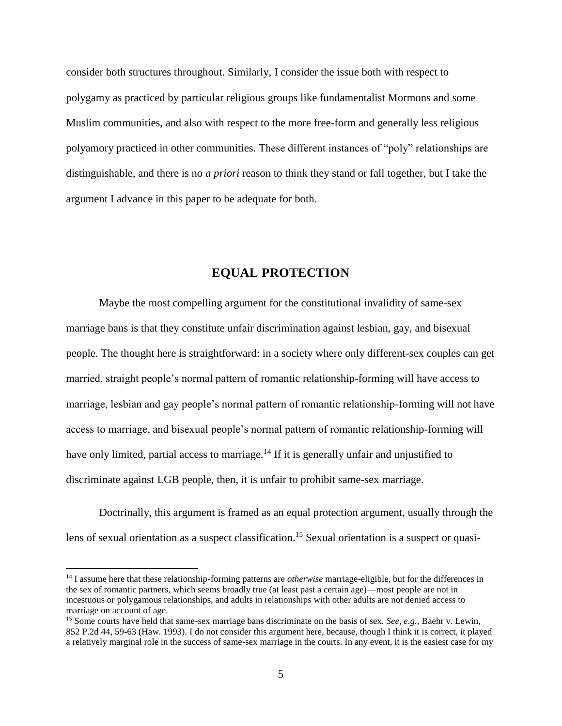consider both structures throughout. Similarly, I consider the issue both with respect to polygamy as practiced by particular religious groups like fundamentalist Mormons and some Muslim communities, and also with respect to the more free-form and generally less religious polyamory practiced in other communities. These different instances of "poly" relationships are distinguishable, and there is no *a priori* reason to think they stand or fall together, but I take the argument I advance in this paper to be adequate for both.

## **EQUAL PROTECTION**

Maybe the most compelling argument for the constitutional invalidity of same-sex marriage bans is that they constitute unfair discrimination against lesbian, gay, and bisexual people. The thought here is straightforward: in a society where only different-sex couples can get married, straight people's normal pattern of romantic relationship-forming will have access to marriage, lesbian and gay people's normal pattern of romantic relationship-forming will not have access to marriage, and bisexual people's normal pattern of romantic relationship-forming will have only limited, partial access to marriage.<sup>14</sup> If it is generally unfair and unjustified to discriminate against LGB people, then, it is unfair to prohibit same-sex marriage.

Doctrinally, this argument is framed as an equal protection argument, usually through the lens of sexual orientation as a suspect classification.<sup>15</sup> Sexual orientation is a suspect or quasi-

<sup>14</sup> I assume here that these relationship-forming patterns are *otherwise* marriage-eligible, but for the differences in the sex of romantic partners, which seems broadly true (at least past a certain age)—most people are not in incestuous or polygamous relationships, and adults in relationships with other adults are not denied access to marriage on account of age.

<sup>15</sup> Some courts have held that same-sex marriage bans discriminate on the basis of sex. *See, e.g.,* Baehr v. Lewin, 852 P.2d 44, 59-63 (Haw. 1993). I do not consider this argument here, because, though I think it is correct, it played a relatively marginal role in the success of same-sex marriage in the courts. In any event, it is the easiest case for my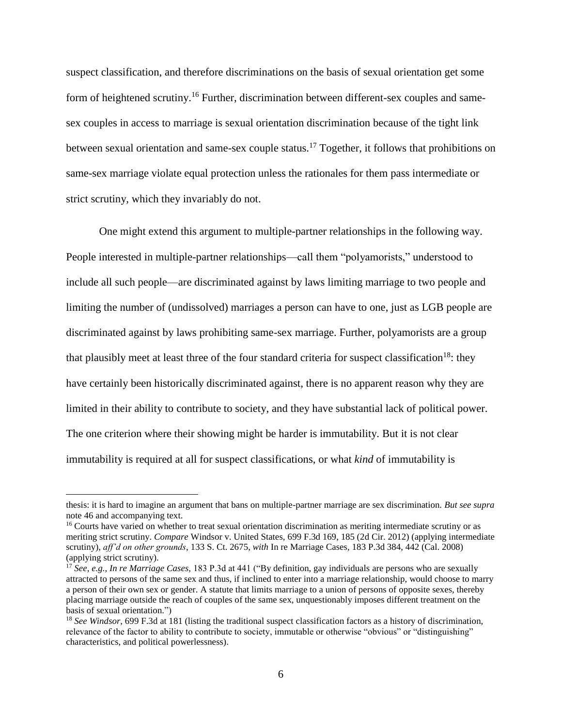suspect classification, and therefore discriminations on the basis of sexual orientation get some form of heightened scrutiny.<sup>16</sup> Further, discrimination between different-sex couples and samesex couples in access to marriage is sexual orientation discrimination because of the tight link between sexual orientation and same-sex couple status.<sup>17</sup> Together, it follows that prohibitions on same-sex marriage violate equal protection unless the rationales for them pass intermediate or strict scrutiny, which they invariably do not.

One might extend this argument to multiple-partner relationships in the following way. People interested in multiple-partner relationships—call them "polyamorists," understood to include all such people—are discriminated against by laws limiting marriage to two people and limiting the number of (undissolved) marriages a person can have to one, just as LGB people are discriminated against by laws prohibiting same-sex marriage. Further, polyamorists are a group that plausibly meet at least three of the four standard criteria for suspect classification<sup>18</sup>: they have certainly been historically discriminated against, there is no apparent reason why they are limited in their ability to contribute to society, and they have substantial lack of political power. The one criterion where their showing might be harder is immutability. But it is not clear immutability is required at all for suspect classifications, or what *kind* of immutability is

thesis: it is hard to imagine an argument that bans on multiple-partner marriage are sex discrimination. *But see supra*  note 46 and accompanying text.

<sup>&</sup>lt;sup>16</sup> Courts have varied on whether to treat sexual orientation discrimination as meriting intermediate scrutiny or as meriting strict scrutiny. *Compare* Windsor v. United States, 699 F.3d 169, 185 (2d Cir. 2012) (applying intermediate scrutiny), *aff'd on other grounds*, 133 S. Ct. 2675, *with* In re Marriage Cases, 183 P.3d 384, 442 (Cal. 2008) (applying strict scrutiny).

<sup>17</sup> *See, e.g., In re Marriage Cases,* 183 P.3d at 441 ("By definition, gay individuals are persons who are sexually attracted to persons of the same sex and thus, if inclined to enter into a marriage relationship, would choose to marry a person of their own sex or gender. A statute that limits marriage to a union of persons of opposite sexes, thereby placing marriage outside the reach of couples of the same sex, unquestionably imposes different treatment on the basis of sexual orientation.")

<sup>&</sup>lt;sup>18</sup> See Windsor, 699 F.3d at 181 (listing the traditional suspect classification factors as a history of discrimination, relevance of the factor to ability to contribute to society, immutable or otherwise "obvious" or "distinguishing" characteristics, and political powerlessness).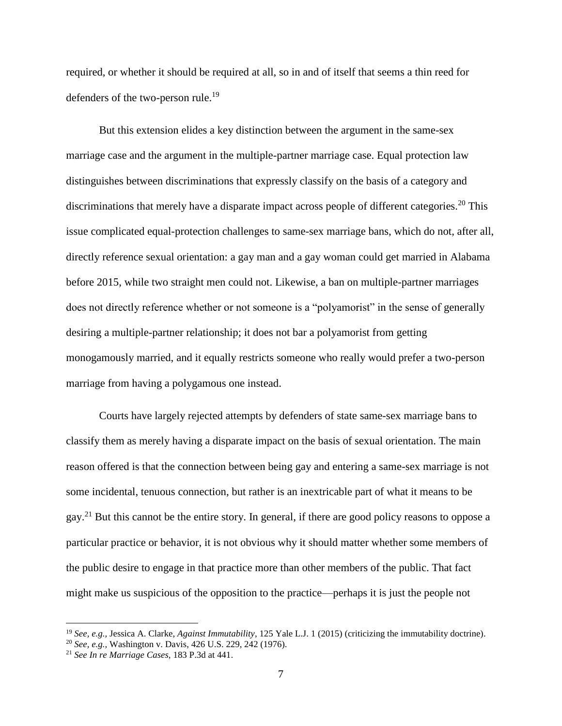required, or whether it should be required at all, so in and of itself that seems a thin reed for defenders of the two-person rule.<sup>19</sup>

But this extension elides a key distinction between the argument in the same-sex marriage case and the argument in the multiple-partner marriage case. Equal protection law distinguishes between discriminations that expressly classify on the basis of a category and discriminations that merely have a disparate impact across people of different categories.<sup>20</sup> This issue complicated equal-protection challenges to same-sex marriage bans, which do not, after all, directly reference sexual orientation: a gay man and a gay woman could get married in Alabama before 2015, while two straight men could not. Likewise, a ban on multiple-partner marriages does not directly reference whether or not someone is a "polyamorist" in the sense of generally desiring a multiple-partner relationship; it does not bar a polyamorist from getting monogamously married, and it equally restricts someone who really would prefer a two-person marriage from having a polygamous one instead.

Courts have largely rejected attempts by defenders of state same-sex marriage bans to classify them as merely having a disparate impact on the basis of sexual orientation. The main reason offered is that the connection between being gay and entering a same-sex marriage is not some incidental, tenuous connection, but rather is an inextricable part of what it means to be gay.<sup>21</sup> But this cannot be the entire story. In general, if there are good policy reasons to oppose a particular practice or behavior, it is not obvious why it should matter whether some members of the public desire to engage in that practice more than other members of the public. That fact might make us suspicious of the opposition to the practice—perhaps it is just the people not

<sup>19</sup> *See, e.g.,* Jessica A. Clarke, *Against Immutability*, 125 Yale L.J. 1 (2015) (criticizing the immutability doctrine).

<sup>20</sup> *See, e.g.,* Washington v. Davis, 426 U.S. 229, 242 (1976).

<sup>21</sup> *See In re Marriage Cases*, 183 P.3d at 441.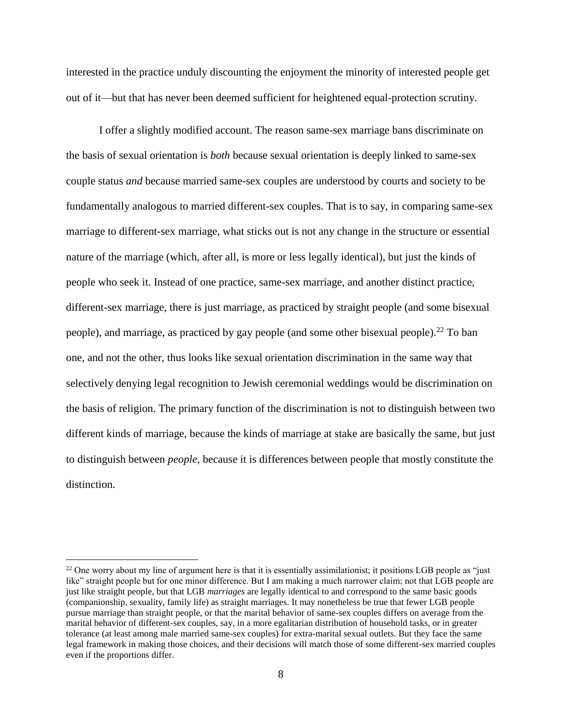interested in the practice unduly discounting the enjoyment the minority of interested people get out of it—but that has never been deemed sufficient for heightened equal-protection scrutiny.

I offer a slightly modified account. The reason same-sex marriage bans discriminate on the basis of sexual orientation is *both* because sexual orientation is deeply linked to same-sex couple status *and* because married same-sex couples are understood by courts and society to be fundamentally analogous to married different-sex couples. That is to say, in comparing same-sex marriage to different-sex marriage, what sticks out is not any change in the structure or essential nature of the marriage (which, after all, is more or less legally identical), but just the kinds of people who seek it. Instead of one practice, same-sex marriage, and another distinct practice, different-sex marriage, there is just marriage, as practiced by straight people (and some bisexual people), and marriage, as practiced by gay people (and some other bisexual people).<sup>22</sup> To ban one, and not the other, thus looks like sexual orientation discrimination in the same way that selectively denying legal recognition to Jewish ceremonial weddings would be discrimination on the basis of religion. The primary function of the discrimination is not to distinguish between two different kinds of marriage, because the kinds of marriage at stake are basically the same, but just to distinguish between *people*, because it is differences between people that mostly constitute the distinction.

 $22$  One worry about my line of argument here is that it is essentially assimilationist; it positions LGB people as "just like" straight people but for one minor difference. But I am making a much narrower claim; not that LGB people are just like straight people, but that LGB *marriages* are legally identical to and correspond to the same basic goods (companionship, sexuality, family life) as straight marriages. It may nonetheless be true that fewer LGB people pursue marriage than straight people, or that the marital behavior of same-sex couples differs on average from the marital behavior of different-sex couples, say, in a more egalitarian distribution of household tasks, or in greater tolerance (at least among male married same-sex couples) for extra-marital sexual outlets. But they face the same legal framework in making those choices, and their decisions will match those of some different-sex married couples even if the proportions differ.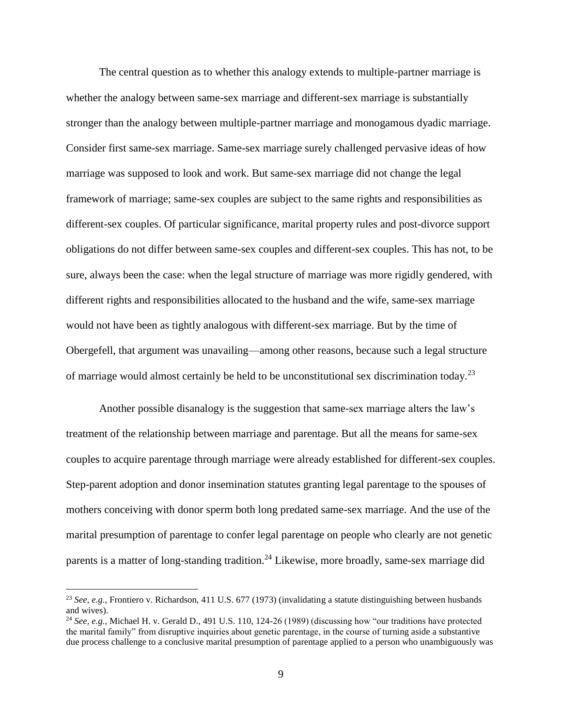The central question as to whether this analogy extends to multiple-partner marriage is whether the analogy between same-sex marriage and different-sex marriage is substantially stronger than the analogy between multiple-partner marriage and monogamous dyadic marriage. Consider first same-sex marriage. Same-sex marriage surely challenged pervasive ideas of how marriage was supposed to look and work. But same-sex marriage did not change the legal framework of marriage; same-sex couples are subject to the same rights and responsibilities as different-sex couples. Of particular significance, marital property rules and post-divorce support obligations do not differ between same-sex couples and different-sex couples. This has not, to be sure, always been the case: when the legal structure of marriage was more rigidly gendered, with different rights and responsibilities allocated to the husband and the wife, same-sex marriage would not have been as tightly analogous with different-sex marriage. But by the time of Obergefell, that argument was unavailing—among other reasons, because such a legal structure of marriage would almost certainly be held to be unconstitutional sex discrimination today.<sup>23</sup>

Another possible disanalogy is the suggestion that same-sex marriage alters the law's treatment of the relationship between marriage and parentage. But all the means for same-sex couples to acquire parentage through marriage were already established for different-sex couples. Step-parent adoption and donor insemination statutes granting legal parentage to the spouses of mothers conceiving with donor sperm both long predated same-sex marriage. And the use of the marital presumption of parentage to confer legal parentage on people who clearly are not genetic parents is a matter of long-standing tradition.<sup>24</sup> Likewise, more broadly, same-sex marriage did

<sup>23</sup> *See, e.g.*, Frontiero v. Richardson, 411 U.S. 677 (1973) (invalidating a statute distinguishing between husbands and wives).

<sup>&</sup>lt;sup>24</sup> *See, e.g.*, Michael H. v. Gerald D., 491 U.S. 110, 124-26 (1989) (discussing how "our traditions have protected the marital family" from disruptive inquiries about genetic parentage, in the course of turning aside a substantive due process challenge to a conclusive marital presumption of parentage applied to a person who unambiguously was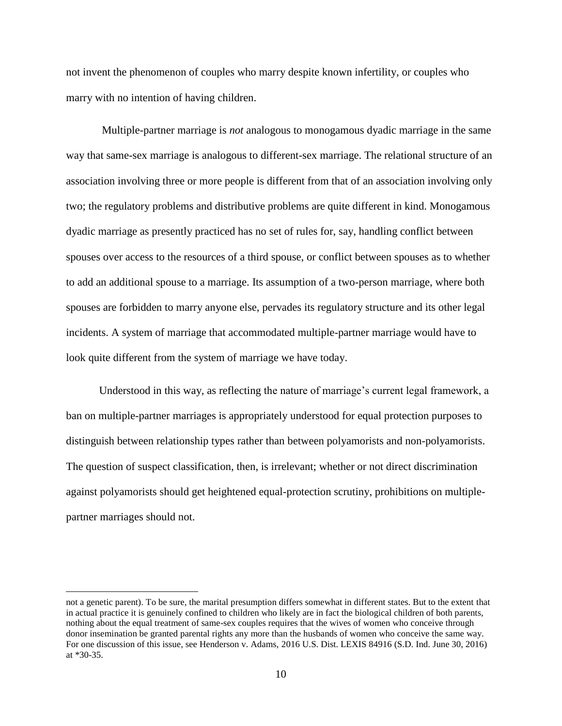not invent the phenomenon of couples who marry despite known infertility, or couples who marry with no intention of having children.

Multiple-partner marriage is *not* analogous to monogamous dyadic marriage in the same way that same-sex marriage is analogous to different-sex marriage. The relational structure of an association involving three or more people is different from that of an association involving only two; the regulatory problems and distributive problems are quite different in kind. Monogamous dyadic marriage as presently practiced has no set of rules for, say, handling conflict between spouses over access to the resources of a third spouse, or conflict between spouses as to whether to add an additional spouse to a marriage. Its assumption of a two-person marriage, where both spouses are forbidden to marry anyone else, pervades its regulatory structure and its other legal incidents. A system of marriage that accommodated multiple-partner marriage would have to look quite different from the system of marriage we have today.

Understood in this way, as reflecting the nature of marriage's current legal framework, a ban on multiple-partner marriages is appropriately understood for equal protection purposes to distinguish between relationship types rather than between polyamorists and non-polyamorists. The question of suspect classification, then, is irrelevant; whether or not direct discrimination against polyamorists should get heightened equal-protection scrutiny, prohibitions on multiplepartner marriages should not.

not a genetic parent). To be sure, the marital presumption differs somewhat in different states. But to the extent that in actual practice it is genuinely confined to children who likely are in fact the biological children of both parents, nothing about the equal treatment of same-sex couples requires that the wives of women who conceive through donor insemination be granted parental rights any more than the husbands of women who conceive the same way. For one discussion of this issue, see Henderson v. Adams, 2016 U.S. Dist. LEXIS 84916 (S.D. Ind. June 30, 2016) at \*30-35.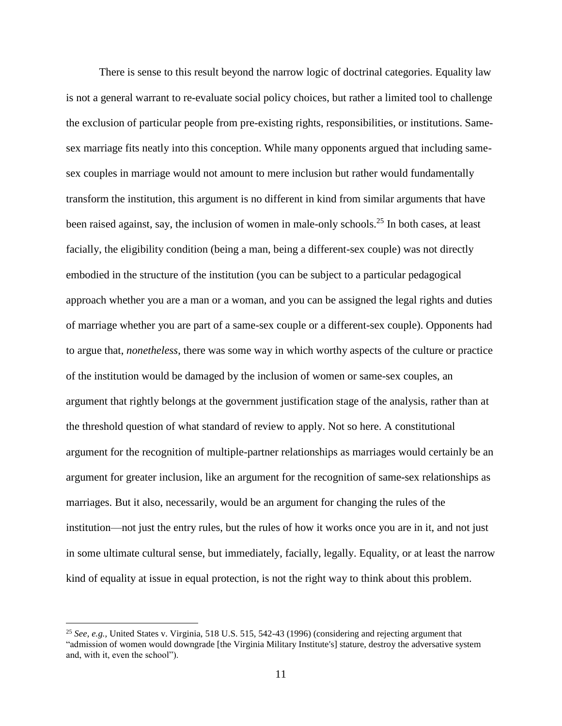There is sense to this result beyond the narrow logic of doctrinal categories. Equality law is not a general warrant to re-evaluate social policy choices, but rather a limited tool to challenge the exclusion of particular people from pre-existing rights, responsibilities, or institutions. Samesex marriage fits neatly into this conception. While many opponents argued that including samesex couples in marriage would not amount to mere inclusion but rather would fundamentally transform the institution, this argument is no different in kind from similar arguments that have been raised against, say, the inclusion of women in male-only schools.<sup>25</sup> In both cases, at least facially, the eligibility condition (being a man, being a different-sex couple) was not directly embodied in the structure of the institution (you can be subject to a particular pedagogical approach whether you are a man or a woman, and you can be assigned the legal rights and duties of marriage whether you are part of a same-sex couple or a different-sex couple). Opponents had to argue that, *nonetheless*, there was some way in which worthy aspects of the culture or practice of the institution would be damaged by the inclusion of women or same-sex couples, an argument that rightly belongs at the government justification stage of the analysis, rather than at the threshold question of what standard of review to apply. Not so here. A constitutional argument for the recognition of multiple-partner relationships as marriages would certainly be an argument for greater inclusion, like an argument for the recognition of same-sex relationships as marriages. But it also, necessarily, would be an argument for changing the rules of the institution—not just the entry rules, but the rules of how it works once you are in it, and not just in some ultimate cultural sense, but immediately, facially, legally. Equality, or at least the narrow kind of equality at issue in equal protection, is not the right way to think about this problem.

<sup>25</sup> *See, e.g.,* United States v. Virginia, 518 U.S. 515, 542-43 (1996) (considering and rejecting argument that "admission of women would downgrade [the Virginia Military Institute's] stature, destroy the adversative system and, with it, even the school").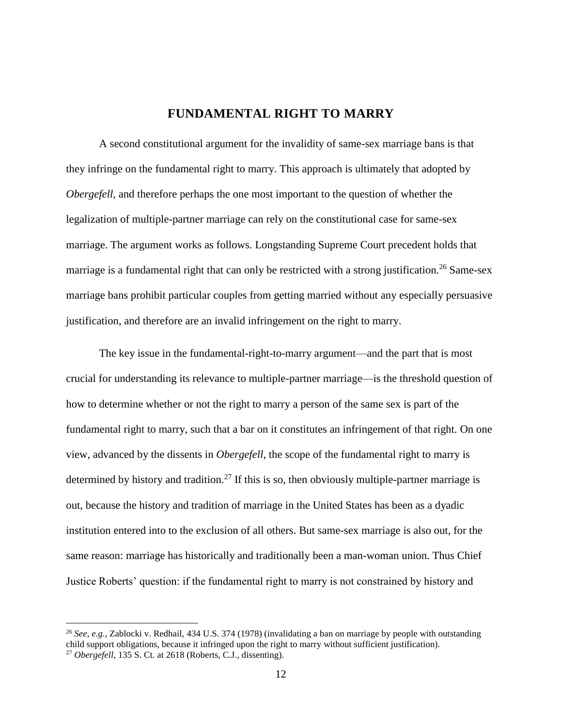### **FUNDAMENTAL RIGHT TO MARRY**

A second constitutional argument for the invalidity of same-sex marriage bans is that they infringe on the fundamental right to marry. This approach is ultimately that adopted by *Obergefell*, and therefore perhaps the one most important to the question of whether the legalization of multiple-partner marriage can rely on the constitutional case for same-sex marriage. The argument works as follows. Longstanding Supreme Court precedent holds that marriage is a fundamental right that can only be restricted with a strong justification.<sup>26</sup> Same-sex marriage bans prohibit particular couples from getting married without any especially persuasive justification, and therefore are an invalid infringement on the right to marry.

The key issue in the fundamental-right-to-marry argument—and the part that is most crucial for understanding its relevance to multiple-partner marriage—is the threshold question of how to determine whether or not the right to marry a person of the same sex is part of the fundamental right to marry, such that a bar on it constitutes an infringement of that right. On one view, advanced by the dissents in *Obergefell*, the scope of the fundamental right to marry is determined by history and tradition.<sup>27</sup> If this is so, then obviously multiple-partner marriage is out, because the history and tradition of marriage in the United States has been as a dyadic institution entered into to the exclusion of all others. But same-sex marriage is also out, for the same reason: marriage has historically and traditionally been a man-woman union. Thus Chief Justice Roberts' question: if the fundamental right to marry is not constrained by history and

<sup>26</sup> *See, e.g.,* Zablocki v. Redhail, 434 U.S. 374 (1978) (invalidating a ban on marriage by people with outstanding child support obligations, because it infringed upon the right to marry without sufficient justification). <sup>27</sup> *Obergefell*, 135 S. Ct. at 2618 (Roberts, C.J., dissenting).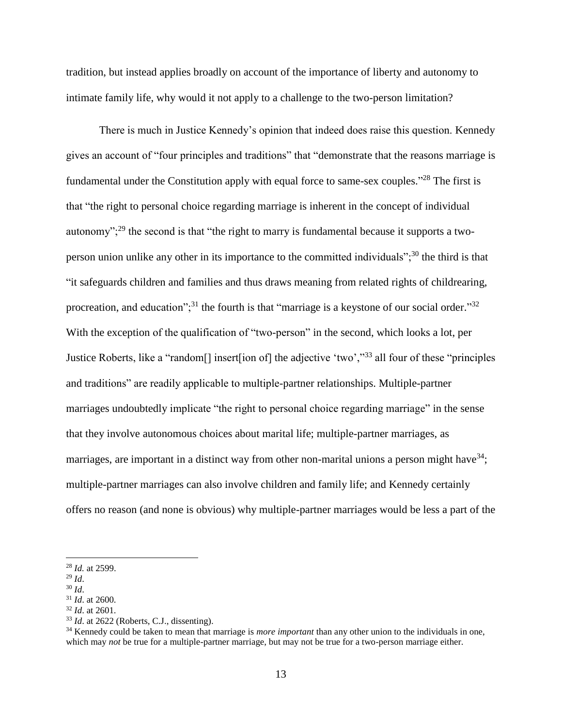tradition, but instead applies broadly on account of the importance of liberty and autonomy to intimate family life, why would it not apply to a challenge to the two-person limitation?

There is much in Justice Kennedy's opinion that indeed does raise this question. Kennedy gives an account of "four principles and traditions" that "demonstrate that the reasons marriage is fundamental under the Constitution apply with equal force to same-sex couples."<sup>28</sup> The first is that "the right to personal choice regarding marriage is inherent in the concept of individual autonomy";<sup>29</sup> the second is that "the right to marry is fundamental because it supports a twoperson union unlike any other in its importance to the committed individuals"; $30$  the third is that "it safeguards children and families and thus draws meaning from related rights of childrearing, procreation, and education";<sup>31</sup> the fourth is that "marriage is a keystone of our social order."<sup>32</sup> With the exception of the qualification of "two-person" in the second, which looks a lot, per Justice Roberts, like a "random[] insert[ion of] the adjective 'two',"<sup>33</sup> all four of these "principles and traditions" are readily applicable to multiple-partner relationships. Multiple-partner marriages undoubtedly implicate "the right to personal choice regarding marriage" in the sense that they involve autonomous choices about marital life; multiple-partner marriages, as marriages, are important in a distinct way from other non-marital unions a person might have  $34$ ; multiple-partner marriages can also involve children and family life; and Kennedy certainly offers no reason (and none is obvious) why multiple-partner marriages would be less a part of the

<sup>28</sup> *Id.* at 2599.

 $^{29}$  *Id.* 

<sup>30</sup> *Id*.

<sup>31</sup> *Id*. at 2600.

<sup>32</sup> *Id*. at 2601.

<sup>33</sup> *Id*. at 2622 (Roberts, C.J., dissenting).

<sup>34</sup> Kennedy could be taken to mean that marriage is *more important* than any other union to the individuals in one, which may *not* be true for a multiple-partner marriage, but may not be true for a two-person marriage either.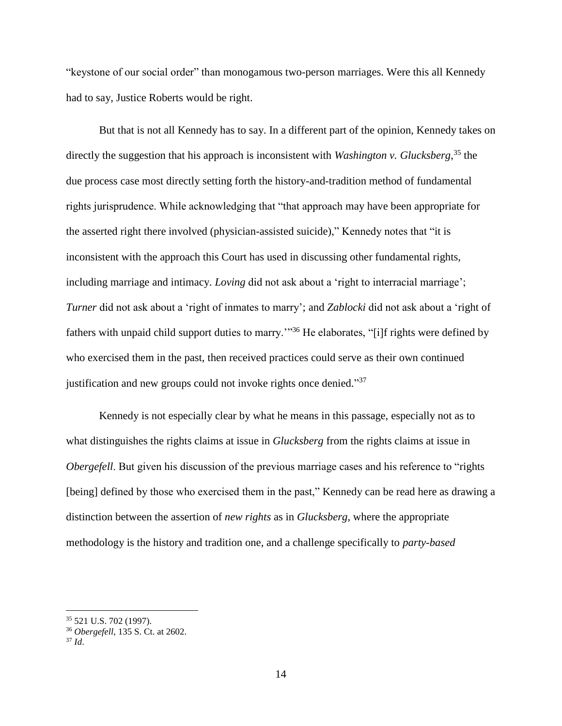"keystone of our social order" than monogamous two-person marriages. Were this all Kennedy had to say, Justice Roberts would be right.

But that is not all Kennedy has to say. In a different part of the opinion, Kennedy takes on directly the suggestion that his approach is inconsistent with *Washington v. Glucksberg*, <sup>35</sup> the due process case most directly setting forth the history-and-tradition method of fundamental rights jurisprudence. While acknowledging that "that approach may have been appropriate for the asserted right there involved (physician-assisted suicide)," Kennedy notes that "it is inconsistent with the approach this Court has used in discussing other fundamental rights, including marriage and intimacy. *Loving* did not ask about a 'right to interracial marriage'; *Turner* did not ask about a 'right of inmates to marry'; and *Zablocki* did not ask about a 'right of fathers with unpaid child support duties to marry."<sup>36</sup> He elaborates, "[i]f rights were defined by who exercised them in the past, then received practices could serve as their own continued justification and new groups could not invoke rights once denied."37

Kennedy is not especially clear by what he means in this passage, especially not as to what distinguishes the rights claims at issue in *Glucksberg* from the rights claims at issue in *Obergefell*. But given his discussion of the previous marriage cases and his reference to "rights" [being] defined by those who exercised them in the past," Kennedy can be read here as drawing a distinction between the assertion of *new rights* as in *Glucksberg*, where the appropriate methodology is the history and tradition one, and a challenge specifically to *party-based* 

<sup>35</sup> 521 U.S. 702 (1997).

<sup>36</sup> *Obergefell*, 135 S. Ct. at 2602.

<sup>37</sup> *Id*.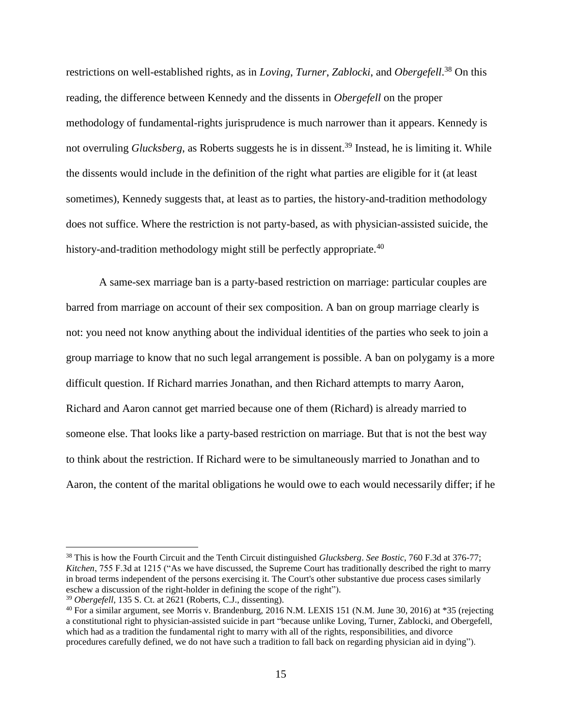restrictions on well-established rights, as in *Loving*, *Turner*, *Zablocki*, and *Obergefell*. <sup>38</sup> On this reading, the difference between Kennedy and the dissents in *Obergefell* on the proper methodology of fundamental-rights jurisprudence is much narrower than it appears. Kennedy is not overruling *Glucksberg*, as Roberts suggests he is in dissent.<sup>39</sup> Instead, he is limiting it. While the dissents would include in the definition of the right what parties are eligible for it (at least sometimes), Kennedy suggests that, at least as to parties, the history-and-tradition methodology does not suffice. Where the restriction is not party-based, as with physician-assisted suicide, the history-and-tradition methodology might still be perfectly appropriate.<sup>40</sup>

A same-sex marriage ban is a party-based restriction on marriage: particular couples are barred from marriage on account of their sex composition. A ban on group marriage clearly is not: you need not know anything about the individual identities of the parties who seek to join a group marriage to know that no such legal arrangement is possible. A ban on polygamy is a more difficult question. If Richard marries Jonathan, and then Richard attempts to marry Aaron, Richard and Aaron cannot get married because one of them (Richard) is already married to someone else. That looks like a party-based restriction on marriage. But that is not the best way to think about the restriction. If Richard were to be simultaneously married to Jonathan and to Aaron, the content of the marital obligations he would owe to each would necessarily differ; if he

<sup>38</sup> This is how the Fourth Circuit and the Tenth Circuit distinguished *Glucksberg*. *See Bostic*, 760 F.3d at 376-77; *Kitchen*, 755 F.3d at 1215 ("As we have discussed, the Supreme Court has traditionally described the right to marry in broad terms independent of the persons exercising it. The Court's other substantive due process cases similarly eschew a discussion of the right-holder in defining the scope of the right").

<sup>39</sup> *Obergefell*, 135 S. Ct. at 2621 (Roberts, C.J., dissenting).

<sup>&</sup>lt;sup>40</sup> For a similar argument, see Morris v. Brandenburg, 2016 N.M. LEXIS 151 (N.M. June 30, 2016) at \*35 (rejecting a constitutional right to physician-assisted suicide in part "because unlike Loving, Turner, Zablocki, and Obergefell, which had as a tradition the fundamental right to marry with all of the rights, responsibilities, and divorce procedures carefully defined, we do not have such a tradition to fall back on regarding physician aid in dying").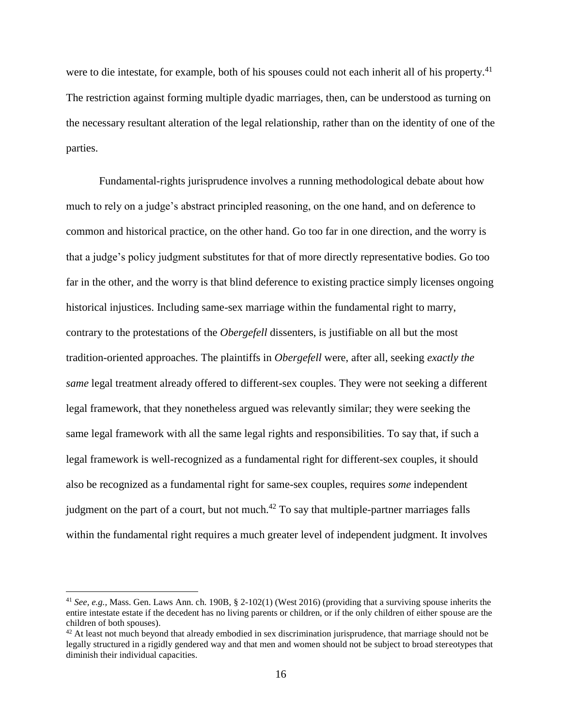were to die intestate, for example, both of his spouses could not each inherit all of his property.<sup>41</sup> The restriction against forming multiple dyadic marriages, then, can be understood as turning on the necessary resultant alteration of the legal relationship, rather than on the identity of one of the parties.

Fundamental-rights jurisprudence involves a running methodological debate about how much to rely on a judge's abstract principled reasoning, on the one hand, and on deference to common and historical practice, on the other hand. Go too far in one direction, and the worry is that a judge's policy judgment substitutes for that of more directly representative bodies. Go too far in the other, and the worry is that blind deference to existing practice simply licenses ongoing historical injustices. Including same-sex marriage within the fundamental right to marry, contrary to the protestations of the *Obergefell* dissenters, is justifiable on all but the most tradition-oriented approaches. The plaintiffs in *Obergefell* were, after all, seeking *exactly the same* legal treatment already offered to different-sex couples. They were not seeking a different legal framework, that they nonetheless argued was relevantly similar; they were seeking the same legal framework with all the same legal rights and responsibilities. To say that, if such a legal framework is well-recognized as a fundamental right for different-sex couples, it should also be recognized as a fundamental right for same-sex couples, requires *some* independent judgment on the part of a court, but not much.<sup>42</sup> To say that multiple-partner marriages falls within the fundamental right requires a much greater level of independent judgment. It involves

<sup>41</sup> *See, e.g.,* Mass. Gen. Laws Ann. ch. 190B, § 2-102(1) (West 2016) (providing that a surviving spouse inherits the entire intestate estate if the decedent has no living parents or children, or if the only children of either spouse are the children of both spouses).

 $42$  At least not much beyond that already embodied in sex discrimination jurisprudence, that marriage should not be legally structured in a rigidly gendered way and that men and women should not be subject to broad stereotypes that diminish their individual capacities.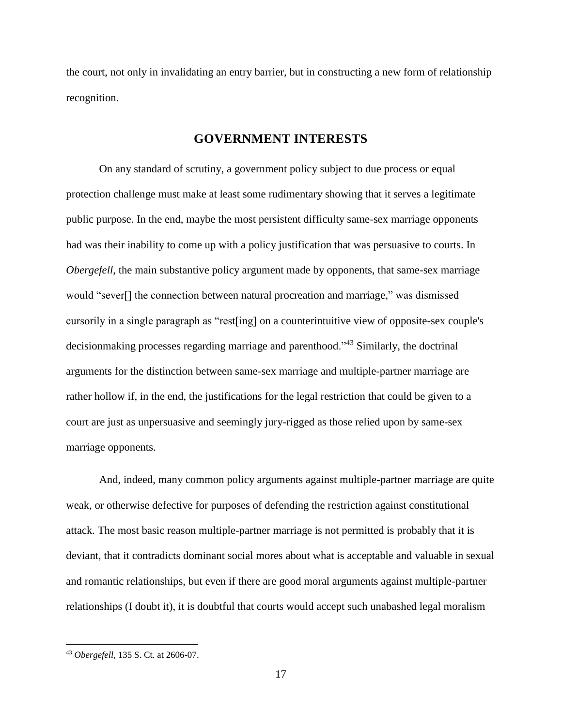the court, not only in invalidating an entry barrier, but in constructing a new form of relationship recognition.

#### **GOVERNMENT INTERESTS**

On any standard of scrutiny, a government policy subject to due process or equal protection challenge must make at least some rudimentary showing that it serves a legitimate public purpose. In the end, maybe the most persistent difficulty same-sex marriage opponents had was their inability to come up with a policy justification that was persuasive to courts. In *Obergefell*, the main substantive policy argument made by opponents, that same-sex marriage would "sever[] the connection between natural procreation and marriage," was dismissed cursorily in a single paragraph as "rest[ing] on a counterintuitive view of opposite-sex couple's decisionmaking processes regarding marriage and parenthood."<sup>43</sup> Similarly, the doctrinal arguments for the distinction between same-sex marriage and multiple-partner marriage are rather hollow if, in the end, the justifications for the legal restriction that could be given to a court are just as unpersuasive and seemingly jury-rigged as those relied upon by same-sex marriage opponents.

And, indeed, many common policy arguments against multiple-partner marriage are quite weak, or otherwise defective for purposes of defending the restriction against constitutional attack. The most basic reason multiple-partner marriage is not permitted is probably that it is deviant, that it contradicts dominant social mores about what is acceptable and valuable in sexual and romantic relationships, but even if there are good moral arguments against multiple-partner relationships (I doubt it), it is doubtful that courts would accept such unabashed legal moralism

<sup>43</sup> *Obergefell*, 135 S. Ct. at 2606-07.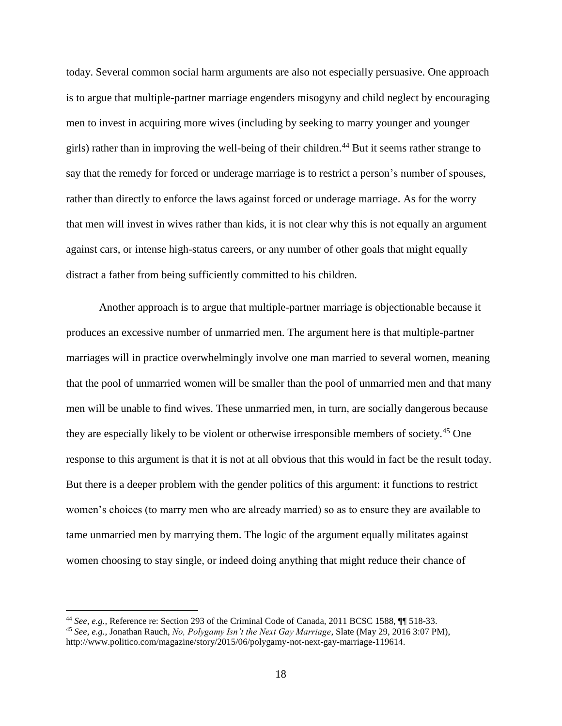today. Several common social harm arguments are also not especially persuasive. One approach is to argue that multiple-partner marriage engenders misogyny and child neglect by encouraging men to invest in acquiring more wives (including by seeking to marry younger and younger girls) rather than in improving the well-being of their children.<sup>44</sup> But it seems rather strange to say that the remedy for forced or underage marriage is to restrict a person's number of spouses, rather than directly to enforce the laws against forced or underage marriage. As for the worry that men will invest in wives rather than kids, it is not clear why this is not equally an argument against cars, or intense high-status careers, or any number of other goals that might equally distract a father from being sufficiently committed to his children.

Another approach is to argue that multiple-partner marriage is objectionable because it produces an excessive number of unmarried men. The argument here is that multiple-partner marriages will in practice overwhelmingly involve one man married to several women, meaning that the pool of unmarried women will be smaller than the pool of unmarried men and that many men will be unable to find wives. These unmarried men, in turn, are socially dangerous because they are especially likely to be violent or otherwise irresponsible members of society.<sup>45</sup> One response to this argument is that it is not at all obvious that this would in fact be the result today. But there is a deeper problem with the gender politics of this argument: it functions to restrict women's choices (to marry men who are already married) so as to ensure they are available to tame unmarried men by marrying them. The logic of the argument equally militates against women choosing to stay single, or indeed doing anything that might reduce their chance of

<sup>44</sup> *See, e.g.,* Reference re: Section 293 of the Criminal Code of Canada, 2011 BCSC 1588, ¶¶ 518-33.

<sup>45</sup> *See, e.g.,* Jonathan Rauch, *No, Polygamy Isn't the Next Gay Marriage*, Slate (May 29, 2016 3:07 PM), http://www.politico.com/magazine/story/2015/06/polygamy-not-next-gay-marriage-119614.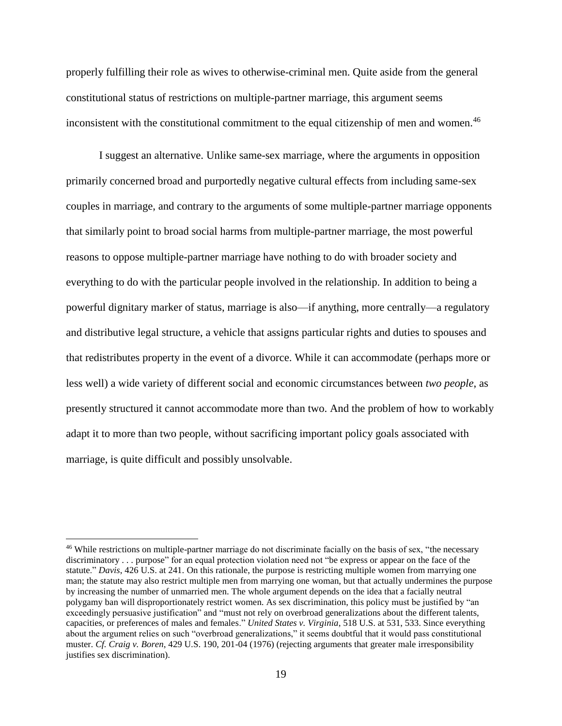properly fulfilling their role as wives to otherwise-criminal men. Quite aside from the general constitutional status of restrictions on multiple-partner marriage, this argument seems inconsistent with the constitutional commitment to the equal citizenship of men and women.<sup>46</sup>

I suggest an alternative. Unlike same-sex marriage, where the arguments in opposition primarily concerned broad and purportedly negative cultural effects from including same-sex couples in marriage, and contrary to the arguments of some multiple-partner marriage opponents that similarly point to broad social harms from multiple-partner marriage, the most powerful reasons to oppose multiple-partner marriage have nothing to do with broader society and everything to do with the particular people involved in the relationship. In addition to being a powerful dignitary marker of status, marriage is also—if anything, more centrally—a regulatory and distributive legal structure, a vehicle that assigns particular rights and duties to spouses and that redistributes property in the event of a divorce. While it can accommodate (perhaps more or less well) a wide variety of different social and economic circumstances between *two people*, as presently structured it cannot accommodate more than two. And the problem of how to workably adapt it to more than two people, without sacrificing important policy goals associated with marriage, is quite difficult and possibly unsolvable.

<sup>&</sup>lt;sup>46</sup> While restrictions on multiple-partner marriage do not discriminate facially on the basis of sex, "the necessary discriminatory . . . purpose" for an equal protection violation need not "be express or appear on the face of the statute." *Davis*, 426 U.S. at 241. On this rationale, the purpose is restricting multiple women from marrying one man; the statute may also restrict multiple men from marrying one woman, but that actually undermines the purpose by increasing the number of unmarried men. The whole argument depends on the idea that a facially neutral polygamy ban will disproportionately restrict women. As sex discrimination, this policy must be justified by "an exceedingly persuasive justification" and "must not rely on overbroad generalizations about the different talents, capacities, or preferences of males and females." *United States v. Virginia*, 518 U.S. at 531, 533. Since everything about the argument relies on such "overbroad generalizations," it seems doubtful that it would pass constitutional muster. *Cf. Craig v. Boren*, 429 U.S. 190, 201-04 (1976) (rejecting arguments that greater male irresponsibility justifies sex discrimination).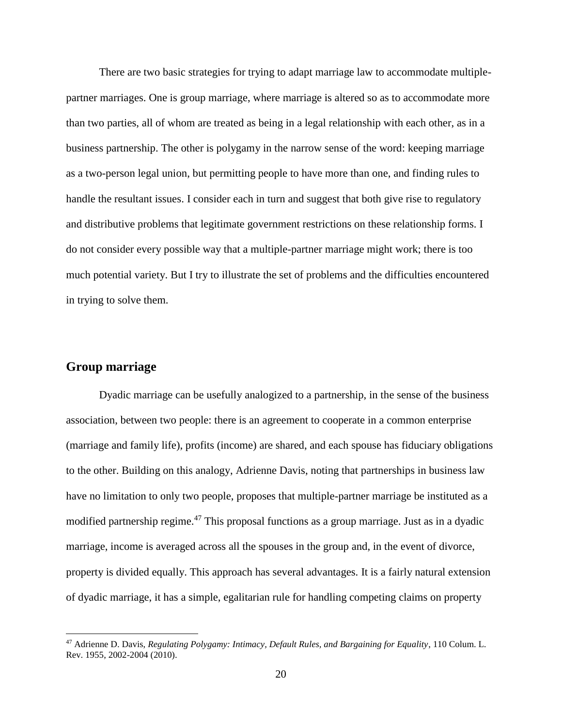There are two basic strategies for trying to adapt marriage law to accommodate multiplepartner marriages. One is group marriage, where marriage is altered so as to accommodate more than two parties, all of whom are treated as being in a legal relationship with each other, as in a business partnership. The other is polygamy in the narrow sense of the word: keeping marriage as a two-person legal union, but permitting people to have more than one, and finding rules to handle the resultant issues. I consider each in turn and suggest that both give rise to regulatory and distributive problems that legitimate government restrictions on these relationship forms. I do not consider every possible way that a multiple-partner marriage might work; there is too much potential variety. But I try to illustrate the set of problems and the difficulties encountered in trying to solve them.

#### **Group marriage**

 $\overline{a}$ 

Dyadic marriage can be usefully analogized to a partnership, in the sense of the business association, between two people: there is an agreement to cooperate in a common enterprise (marriage and family life), profits (income) are shared, and each spouse has fiduciary obligations to the other. Building on this analogy, Adrienne Davis, noting that partnerships in business law have no limitation to only two people, proposes that multiple-partner marriage be instituted as a modified partnership regime.<sup>47</sup> This proposal functions as a group marriage. Just as in a dyadic marriage, income is averaged across all the spouses in the group and, in the event of divorce, property is divided equally. This approach has several advantages. It is a fairly natural extension of dyadic marriage, it has a simple, egalitarian rule for handling competing claims on property

<sup>47</sup> Adrienne D. Davis, *Regulating Polygamy: Intimacy, Default Rules, and Bargaining for Equality*, 110 Colum. L. Rev. 1955, 2002-2004 (2010).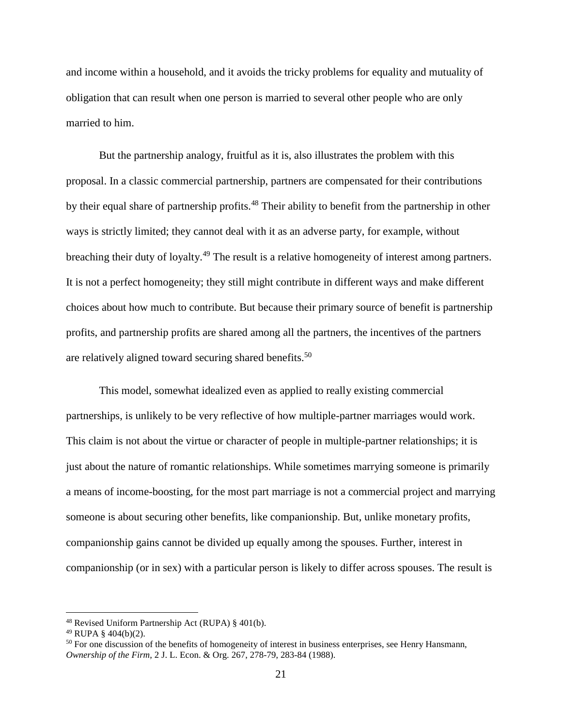and income within a household, and it avoids the tricky problems for equality and mutuality of obligation that can result when one person is married to several other people who are only married to him.

But the partnership analogy, fruitful as it is, also illustrates the problem with this proposal. In a classic commercial partnership, partners are compensated for their contributions by their equal share of partnership profits.<sup>48</sup> Their ability to benefit from the partnership in other ways is strictly limited; they cannot deal with it as an adverse party, for example, without breaching their duty of loyalty.<sup>49</sup> The result is a relative homogeneity of interest among partners. It is not a perfect homogeneity; they still might contribute in different ways and make different choices about how much to contribute. But because their primary source of benefit is partnership profits, and partnership profits are shared among all the partners, the incentives of the partners are relatively aligned toward securing shared benefits.<sup>50</sup>

This model, somewhat idealized even as applied to really existing commercial partnerships, is unlikely to be very reflective of how multiple-partner marriages would work. This claim is not about the virtue or character of people in multiple-partner relationships; it is just about the nature of romantic relationships. While sometimes marrying someone is primarily a means of income-boosting, for the most part marriage is not a commercial project and marrying someone is about securing other benefits, like companionship. But, unlike monetary profits, companionship gains cannot be divided up equally among the spouses. Further, interest in companionship (or in sex) with a particular person is likely to differ across spouses. The result is

<sup>48</sup> Revised Uniform Partnership Act (RUPA) § 401(b).

 $49$  RUPA §  $404(b)(2)$ .

<sup>&</sup>lt;sup>50</sup> For one discussion of the benefits of homogeneity of interest in business enterprises, see Henry Hansmann, *Ownership of the Firm*, 2 J. L. Econ. & Org. 267, 278-79, 283-84 (1988).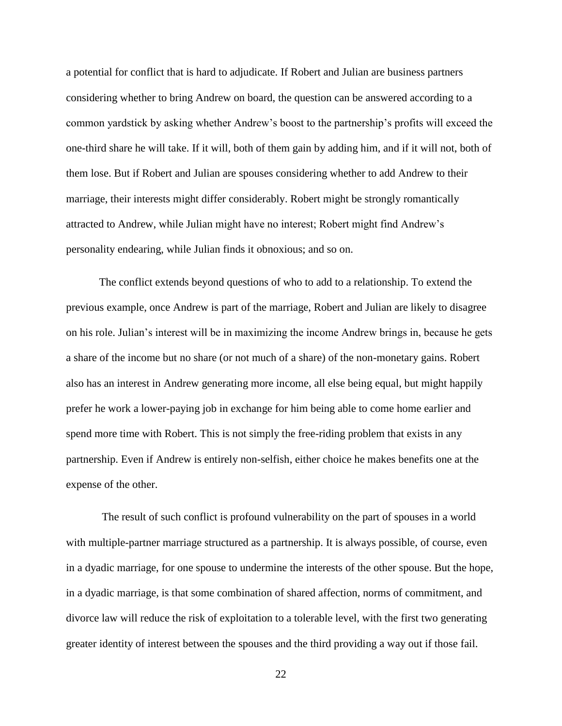a potential for conflict that is hard to adjudicate. If Robert and Julian are business partners considering whether to bring Andrew on board, the question can be answered according to a common yardstick by asking whether Andrew's boost to the partnership's profits will exceed the one-third share he will take. If it will, both of them gain by adding him, and if it will not, both of them lose. But if Robert and Julian are spouses considering whether to add Andrew to their marriage, their interests might differ considerably. Robert might be strongly romantically attracted to Andrew, while Julian might have no interest; Robert might find Andrew's personality endearing, while Julian finds it obnoxious; and so on.

The conflict extends beyond questions of who to add to a relationship. To extend the previous example, once Andrew is part of the marriage, Robert and Julian are likely to disagree on his role. Julian's interest will be in maximizing the income Andrew brings in, because he gets a share of the income but no share (or not much of a share) of the non-monetary gains. Robert also has an interest in Andrew generating more income, all else being equal, but might happily prefer he work a lower-paying job in exchange for him being able to come home earlier and spend more time with Robert. This is not simply the free-riding problem that exists in any partnership. Even if Andrew is entirely non-selfish, either choice he makes benefits one at the expense of the other.

The result of such conflict is profound vulnerability on the part of spouses in a world with multiple-partner marriage structured as a partnership. It is always possible, of course, even in a dyadic marriage, for one spouse to undermine the interests of the other spouse. But the hope, in a dyadic marriage, is that some combination of shared affection, norms of commitment, and divorce law will reduce the risk of exploitation to a tolerable level, with the first two generating greater identity of interest between the spouses and the third providing a way out if those fail.

22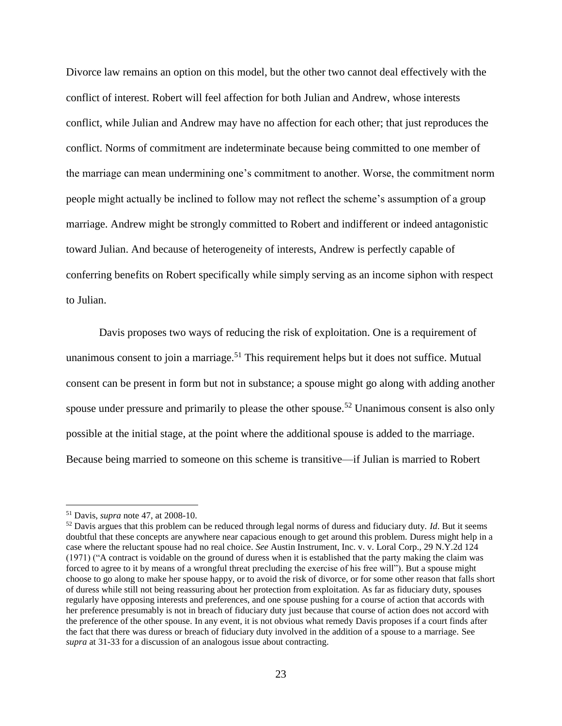Divorce law remains an option on this model, but the other two cannot deal effectively with the conflict of interest. Robert will feel affection for both Julian and Andrew, whose interests conflict, while Julian and Andrew may have no affection for each other; that just reproduces the conflict. Norms of commitment are indeterminate because being committed to one member of the marriage can mean undermining one's commitment to another. Worse, the commitment norm people might actually be inclined to follow may not reflect the scheme's assumption of a group marriage. Andrew might be strongly committed to Robert and indifferent or indeed antagonistic toward Julian. And because of heterogeneity of interests, Andrew is perfectly capable of conferring benefits on Robert specifically while simply serving as an income siphon with respect to Julian.

Davis proposes two ways of reducing the risk of exploitation. One is a requirement of unanimous consent to join a marriage.<sup>51</sup> This requirement helps but it does not suffice. Mutual consent can be present in form but not in substance; a spouse might go along with adding another spouse under pressure and primarily to please the other spouse.<sup>52</sup> Unanimous consent is also only possible at the initial stage, at the point where the additional spouse is added to the marriage. Because being married to someone on this scheme is transitive—if Julian is married to Robert

<sup>51</sup> Davis, *supra* note 47, at 2008-10.

<sup>52</sup> Davis argues that this problem can be reduced through legal norms of duress and fiduciary duty. *Id*. But it seems doubtful that these concepts are anywhere near capacious enough to get around this problem. Duress might help in a case where the reluctant spouse had no real choice. *See* Austin Instrument, Inc. v. v. Loral Corp., 29 N.Y.2d 124 (1971) ("A contract is voidable on the ground of duress when it is established that the party making the claim was forced to agree to it by means of a wrongful threat precluding the exercise of his free will"). But a spouse might choose to go along to make her spouse happy, or to avoid the risk of divorce, or for some other reason that falls short of duress while still not being reassuring about her protection from exploitation. As far as fiduciary duty, spouses regularly have opposing interests and preferences, and one spouse pushing for a course of action that accords with her preference presumably is not in breach of fiduciary duty just because that course of action does not accord with the preference of the other spouse. In any event, it is not obvious what remedy Davis proposes if a court finds after the fact that there was duress or breach of fiduciary duty involved in the addition of a spouse to a marriage. See *supra* at 31-33 for a discussion of an analogous issue about contracting.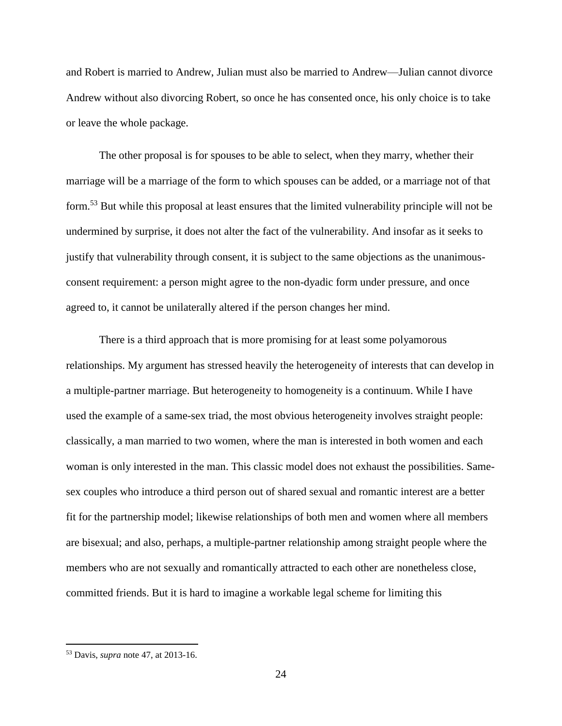and Robert is married to Andrew, Julian must also be married to Andrew—Julian cannot divorce Andrew without also divorcing Robert, so once he has consented once, his only choice is to take or leave the whole package.

The other proposal is for spouses to be able to select, when they marry, whether their marriage will be a marriage of the form to which spouses can be added, or a marriage not of that form.<sup>53</sup> But while this proposal at least ensures that the limited vulnerability principle will not be undermined by surprise, it does not alter the fact of the vulnerability. And insofar as it seeks to justify that vulnerability through consent, it is subject to the same objections as the unanimousconsent requirement: a person might agree to the non-dyadic form under pressure, and once agreed to, it cannot be unilaterally altered if the person changes her mind.

There is a third approach that is more promising for at least some polyamorous relationships. My argument has stressed heavily the heterogeneity of interests that can develop in a multiple-partner marriage. But heterogeneity to homogeneity is a continuum. While I have used the example of a same-sex triad, the most obvious heterogeneity involves straight people: classically, a man married to two women, where the man is interested in both women and each woman is only interested in the man. This classic model does not exhaust the possibilities. Samesex couples who introduce a third person out of shared sexual and romantic interest are a better fit for the partnership model; likewise relationships of both men and women where all members are bisexual; and also, perhaps, a multiple-partner relationship among straight people where the members who are not sexually and romantically attracted to each other are nonetheless close, committed friends. But it is hard to imagine a workable legal scheme for limiting this

<sup>53</sup> Davis, *supra* note 47, at 2013-16.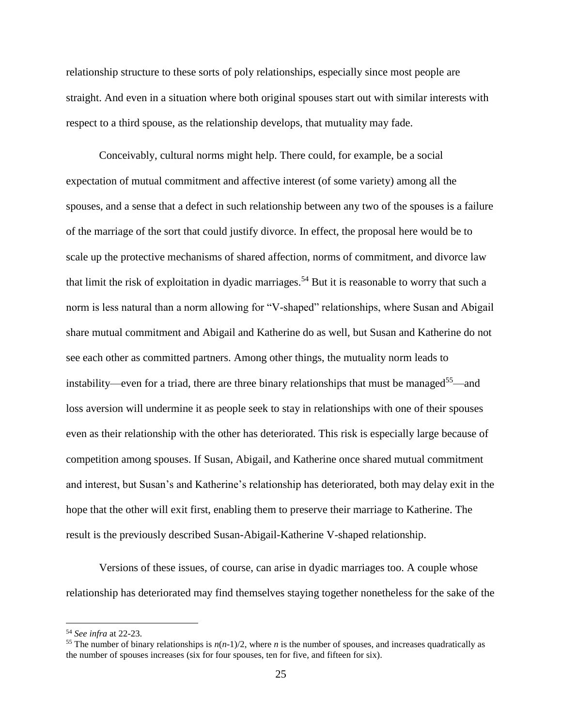relationship structure to these sorts of poly relationships, especially since most people are straight. And even in a situation where both original spouses start out with similar interests with respect to a third spouse, as the relationship develops, that mutuality may fade.

Conceivably, cultural norms might help. There could, for example, be a social expectation of mutual commitment and affective interest (of some variety) among all the spouses, and a sense that a defect in such relationship between any two of the spouses is a failure of the marriage of the sort that could justify divorce. In effect, the proposal here would be to scale up the protective mechanisms of shared affection, norms of commitment, and divorce law that limit the risk of exploitation in dyadic marriages.<sup>54</sup> But it is reasonable to worry that such a norm is less natural than a norm allowing for "V-shaped" relationships, where Susan and Abigail share mutual commitment and Abigail and Katherine do as well, but Susan and Katherine do not see each other as committed partners. Among other things, the mutuality norm leads to instability—even for a triad, there are three binary relationships that must be managed<sup>55</sup>—and loss aversion will undermine it as people seek to stay in relationships with one of their spouses even as their relationship with the other has deteriorated. This risk is especially large because of competition among spouses. If Susan, Abigail, and Katherine once shared mutual commitment and interest, but Susan's and Katherine's relationship has deteriorated, both may delay exit in the hope that the other will exit first, enabling them to preserve their marriage to Katherine. The result is the previously described Susan-Abigail-Katherine V-shaped relationship.

Versions of these issues, of course, can arise in dyadic marriages too. A couple whose relationship has deteriorated may find themselves staying together nonetheless for the sake of the

<sup>54</sup> *See infra* at 22-23.

<sup>&</sup>lt;sup>55</sup> The number of binary relationships is  $n(n-1)/2$ , where *n* is the number of spouses, and increases quadratically as the number of spouses increases (six for four spouses, ten for five, and fifteen for six).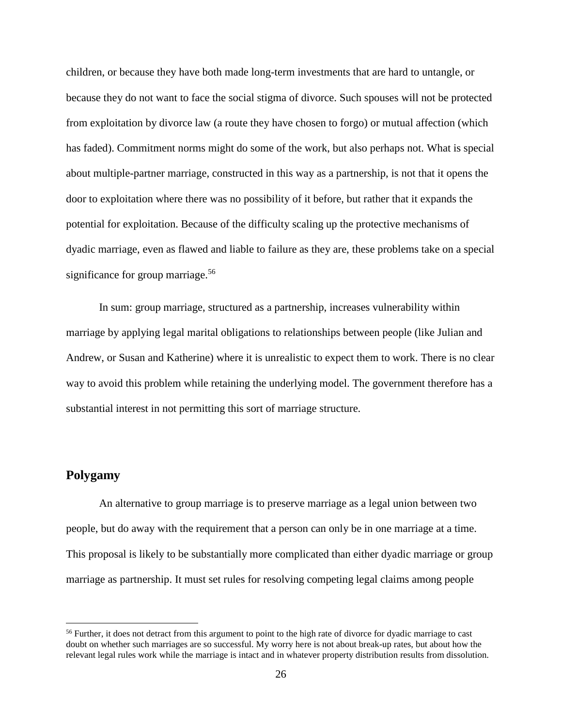children, or because they have both made long-term investments that are hard to untangle, or because they do not want to face the social stigma of divorce. Such spouses will not be protected from exploitation by divorce law (a route they have chosen to forgo) or mutual affection (which has faded). Commitment norms might do some of the work, but also perhaps not. What is special about multiple-partner marriage, constructed in this way as a partnership, is not that it opens the door to exploitation where there was no possibility of it before, but rather that it expands the potential for exploitation. Because of the difficulty scaling up the protective mechanisms of dyadic marriage, even as flawed and liable to failure as they are, these problems take on a special significance for group marriage.<sup>56</sup>

In sum: group marriage, structured as a partnership, increases vulnerability within marriage by applying legal marital obligations to relationships between people (like Julian and Andrew, or Susan and Katherine) where it is unrealistic to expect them to work. There is no clear way to avoid this problem while retaining the underlying model. The government therefore has a substantial interest in not permitting this sort of marriage structure.

### **Polygamy**

 $\overline{a}$ 

An alternative to group marriage is to preserve marriage as a legal union between two people, but do away with the requirement that a person can only be in one marriage at a time. This proposal is likely to be substantially more complicated than either dyadic marriage or group marriage as partnership. It must set rules for resolving competing legal claims among people

<sup>&</sup>lt;sup>56</sup> Further, it does not detract from this argument to point to the high rate of divorce for dyadic marriage to cast doubt on whether such marriages are so successful. My worry here is not about break-up rates, but about how the relevant legal rules work while the marriage is intact and in whatever property distribution results from dissolution.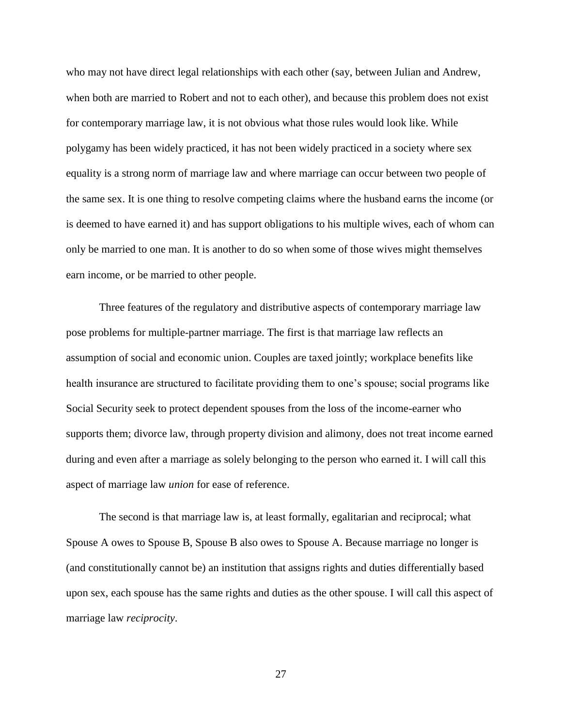who may not have direct legal relationships with each other (say, between Julian and Andrew, when both are married to Robert and not to each other), and because this problem does not exist for contemporary marriage law, it is not obvious what those rules would look like. While polygamy has been widely practiced, it has not been widely practiced in a society where sex equality is a strong norm of marriage law and where marriage can occur between two people of the same sex. It is one thing to resolve competing claims where the husband earns the income (or is deemed to have earned it) and has support obligations to his multiple wives, each of whom can only be married to one man. It is another to do so when some of those wives might themselves earn income, or be married to other people.

Three features of the regulatory and distributive aspects of contemporary marriage law pose problems for multiple-partner marriage. The first is that marriage law reflects an assumption of social and economic union. Couples are taxed jointly; workplace benefits like health insurance are structured to facilitate providing them to one's spouse; social programs like Social Security seek to protect dependent spouses from the loss of the income-earner who supports them; divorce law, through property division and alimony, does not treat income earned during and even after a marriage as solely belonging to the person who earned it. I will call this aspect of marriage law *union* for ease of reference.

The second is that marriage law is, at least formally, egalitarian and reciprocal; what Spouse A owes to Spouse B, Spouse B also owes to Spouse A. Because marriage no longer is (and constitutionally cannot be) an institution that assigns rights and duties differentially based upon sex, each spouse has the same rights and duties as the other spouse. I will call this aspect of marriage law *reciprocity*.

27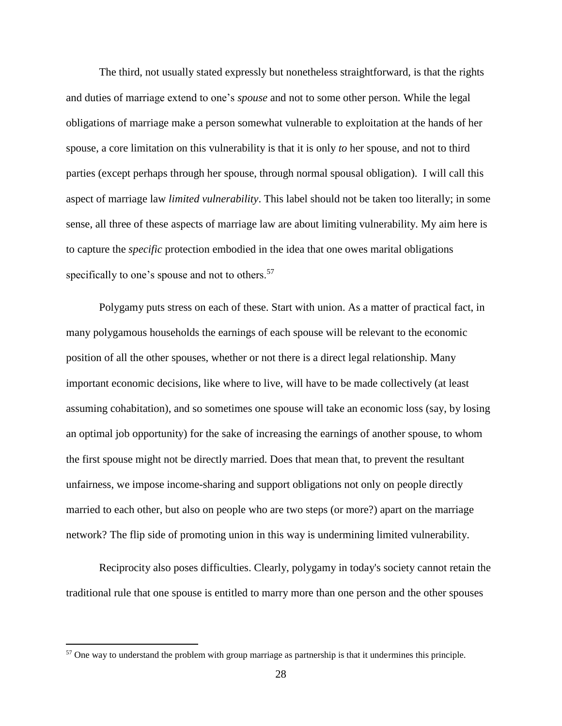The third, not usually stated expressly but nonetheless straightforward, is that the rights and duties of marriage extend to one's *spouse* and not to some other person. While the legal obligations of marriage make a person somewhat vulnerable to exploitation at the hands of her spouse, a core limitation on this vulnerability is that it is only *to* her spouse, and not to third parties (except perhaps through her spouse, through normal spousal obligation). I will call this aspect of marriage law *limited vulnerability*. This label should not be taken too literally; in some sense, all three of these aspects of marriage law are about limiting vulnerability. My aim here is to capture the *specific* protection embodied in the idea that one owes marital obligations specifically to one's spouse and not to others.<sup>57</sup>

Polygamy puts stress on each of these. Start with union. As a matter of practical fact, in many polygamous households the earnings of each spouse will be relevant to the economic position of all the other spouses, whether or not there is a direct legal relationship. Many important economic decisions, like where to live, will have to be made collectively (at least assuming cohabitation), and so sometimes one spouse will take an economic loss (say, by losing an optimal job opportunity) for the sake of increasing the earnings of another spouse, to whom the first spouse might not be directly married. Does that mean that, to prevent the resultant unfairness, we impose income-sharing and support obligations not only on people directly married to each other, but also on people who are two steps (or more?) apart on the marriage network? The flip side of promoting union in this way is undermining limited vulnerability.

Reciprocity also poses difficulties. Clearly, polygamy in today's society cannot retain the traditional rule that one spouse is entitled to marry more than one person and the other spouses

<sup>&</sup>lt;sup>57</sup> One way to understand the problem with group marriage as partnership is that it undermines this principle.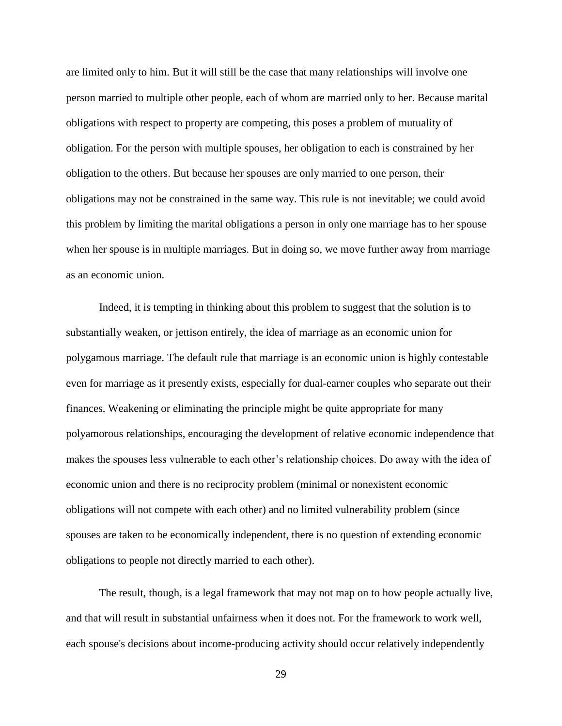are limited only to him. But it will still be the case that many relationships will involve one person married to multiple other people, each of whom are married only to her. Because marital obligations with respect to property are competing, this poses a problem of mutuality of obligation. For the person with multiple spouses, her obligation to each is constrained by her obligation to the others. But because her spouses are only married to one person, their obligations may not be constrained in the same way. This rule is not inevitable; we could avoid this problem by limiting the marital obligations a person in only one marriage has to her spouse when her spouse is in multiple marriages. But in doing so, we move further away from marriage as an economic union.

Indeed, it is tempting in thinking about this problem to suggest that the solution is to substantially weaken, or jettison entirely, the idea of marriage as an economic union for polygamous marriage. The default rule that marriage is an economic union is highly contestable even for marriage as it presently exists, especially for dual-earner couples who separate out their finances. Weakening or eliminating the principle might be quite appropriate for many polyamorous relationships, encouraging the development of relative economic independence that makes the spouses less vulnerable to each other's relationship choices. Do away with the idea of economic union and there is no reciprocity problem (minimal or nonexistent economic obligations will not compete with each other) and no limited vulnerability problem (since spouses are taken to be economically independent, there is no question of extending economic obligations to people not directly married to each other).

The result, though, is a legal framework that may not map on to how people actually live, and that will result in substantial unfairness when it does not. For the framework to work well, each spouse's decisions about income-producing activity should occur relatively independently

29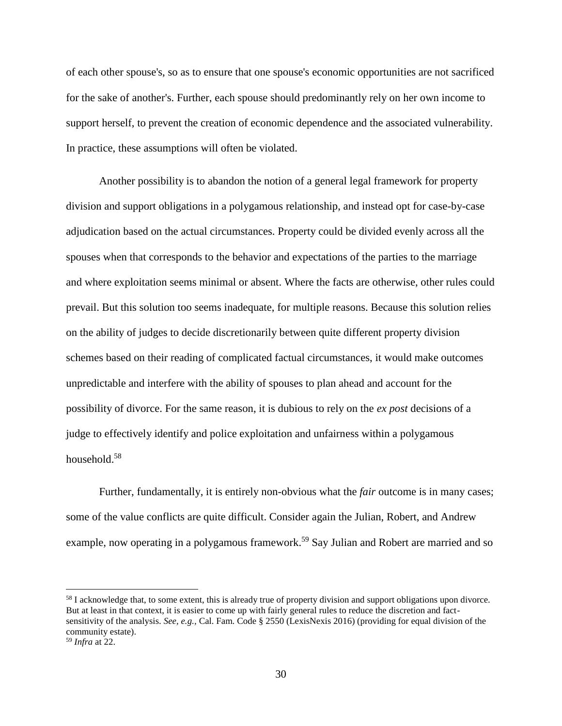of each other spouse's, so as to ensure that one spouse's economic opportunities are not sacrificed for the sake of another's. Further, each spouse should predominantly rely on her own income to support herself, to prevent the creation of economic dependence and the associated vulnerability. In practice, these assumptions will often be violated.

Another possibility is to abandon the notion of a general legal framework for property division and support obligations in a polygamous relationship, and instead opt for case-by-case adjudication based on the actual circumstances. Property could be divided evenly across all the spouses when that corresponds to the behavior and expectations of the parties to the marriage and where exploitation seems minimal or absent. Where the facts are otherwise, other rules could prevail. But this solution too seems inadequate, for multiple reasons. Because this solution relies on the ability of judges to decide discretionarily between quite different property division schemes based on their reading of complicated factual circumstances, it would make outcomes unpredictable and interfere with the ability of spouses to plan ahead and account for the possibility of divorce. For the same reason, it is dubious to rely on the *ex post* decisions of a judge to effectively identify and police exploitation and unfairness within a polygamous household.<sup>58</sup>

Further, fundamentally, it is entirely non-obvious what the *fair* outcome is in many cases; some of the value conflicts are quite difficult. Consider again the Julian, Robert, and Andrew example, now operating in a polygamous framework.<sup>59</sup> Say Julian and Robert are married and so

<sup>&</sup>lt;sup>58</sup> I acknowledge that, to some extent, this is already true of property division and support obligations upon divorce. But at least in that context, it is easier to come up with fairly general rules to reduce the discretion and factsensitivity of the analysis. *See, e.g.,* Cal. Fam. Code § 2550 (LexisNexis 2016) (providing for equal division of the community estate).

<sup>59</sup> *Infra* at 22.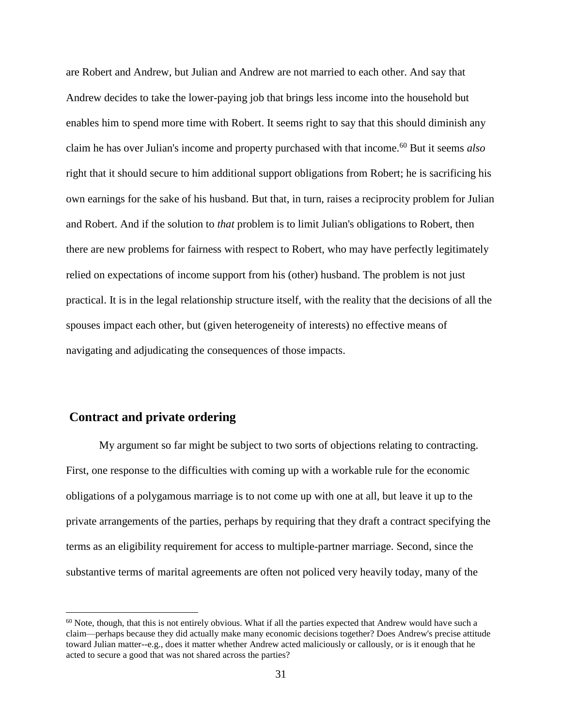are Robert and Andrew, but Julian and Andrew are not married to each other. And say that Andrew decides to take the lower-paying job that brings less income into the household but enables him to spend more time with Robert. It seems right to say that this should diminish any claim he has over Julian's income and property purchased with that income.<sup>60</sup> But it seems *also*  right that it should secure to him additional support obligations from Robert; he is sacrificing his own earnings for the sake of his husband. But that, in turn, raises a reciprocity problem for Julian and Robert. And if the solution to *that* problem is to limit Julian's obligations to Robert, then there are new problems for fairness with respect to Robert, who may have perfectly legitimately relied on expectations of income support from his (other) husband. The problem is not just practical. It is in the legal relationship structure itself, with the reality that the decisions of all the spouses impact each other, but (given heterogeneity of interests) no effective means of navigating and adjudicating the consequences of those impacts.

#### **Contract and private ordering**

 $\overline{a}$ 

My argument so far might be subject to two sorts of objections relating to contracting. First, one response to the difficulties with coming up with a workable rule for the economic obligations of a polygamous marriage is to not come up with one at all, but leave it up to the private arrangements of the parties, perhaps by requiring that they draft a contract specifying the terms as an eligibility requirement for access to multiple-partner marriage. Second, since the substantive terms of marital agreements are often not policed very heavily today, many of the

 $60$  Note, though, that this is not entirely obvious. What if all the parties expected that Andrew would have such a claim—perhaps because they did actually make many economic decisions together? Does Andrew's precise attitude toward Julian matter--e.g., does it matter whether Andrew acted maliciously or callously, or is it enough that he acted to secure a good that was not shared across the parties?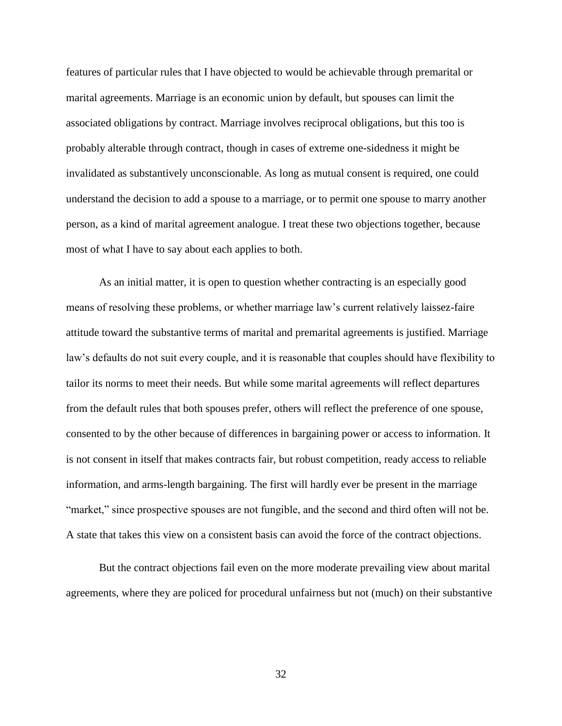features of particular rules that I have objected to would be achievable through premarital or marital agreements. Marriage is an economic union by default, but spouses can limit the associated obligations by contract. Marriage involves reciprocal obligations, but this too is probably alterable through contract, though in cases of extreme one-sidedness it might be invalidated as substantively unconscionable. As long as mutual consent is required, one could understand the decision to add a spouse to a marriage, or to permit one spouse to marry another person, as a kind of marital agreement analogue. I treat these two objections together, because most of what I have to say about each applies to both.

As an initial matter, it is open to question whether contracting is an especially good means of resolving these problems, or whether marriage law's current relatively laissez-faire attitude toward the substantive terms of marital and premarital agreements is justified. Marriage law's defaults do not suit every couple, and it is reasonable that couples should have flexibility to tailor its norms to meet their needs. But while some marital agreements will reflect departures from the default rules that both spouses prefer, others will reflect the preference of one spouse, consented to by the other because of differences in bargaining power or access to information. It is not consent in itself that makes contracts fair, but robust competition, ready access to reliable information, and arms-length bargaining. The first will hardly ever be present in the marriage "market," since prospective spouses are not fungible, and the second and third often will not be. A state that takes this view on a consistent basis can avoid the force of the contract objections.

But the contract objections fail even on the more moderate prevailing view about marital agreements, where they are policed for procedural unfairness but not (much) on their substantive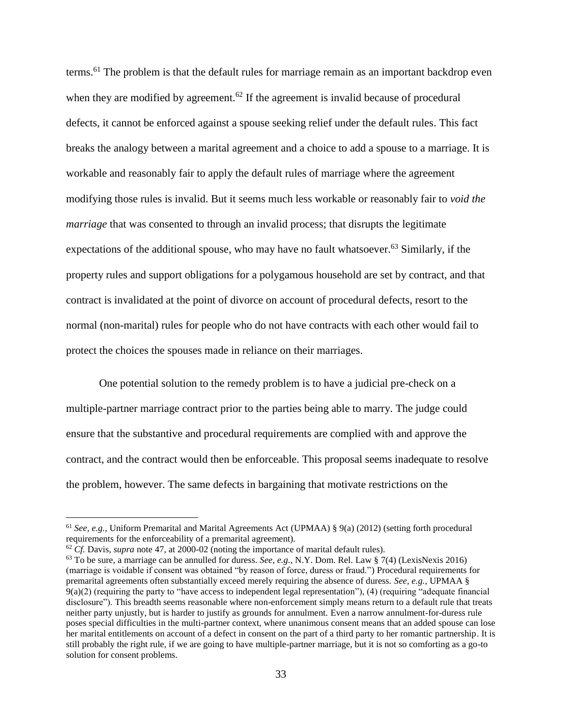terms.<sup>61</sup> The problem is that the default rules for marriage remain as an important backdrop even when they are modified by agreement.<sup>62</sup> If the agreement is invalid because of procedural defects, it cannot be enforced against a spouse seeking relief under the default rules. This fact breaks the analogy between a marital agreement and a choice to add a spouse to a marriage. It is workable and reasonably fair to apply the default rules of marriage where the agreement modifying those rules is invalid. But it seems much less workable or reasonably fair to *void the marriage* that was consented to through an invalid process; that disrupts the legitimate expectations of the additional spouse, who may have no fault whatsoever.<sup>63</sup> Similarly, if the property rules and support obligations for a polygamous household are set by contract, and that contract is invalidated at the point of divorce on account of procedural defects, resort to the normal (non-marital) rules for people who do not have contracts with each other would fail to protect the choices the spouses made in reliance on their marriages.

One potential solution to the remedy problem is to have a judicial pre-check on a multiple-partner marriage contract prior to the parties being able to marry. The judge could ensure that the substantive and procedural requirements are complied with and approve the contract, and the contract would then be enforceable. This proposal seems inadequate to resolve the problem, however. The same defects in bargaining that motivate restrictions on the

<sup>61</sup> *See, e.g.,* Uniform Premarital and Marital Agreements Act (UPMAA) § 9(a) (2012) (setting forth procedural requirements for the enforceability of a premarital agreement).

<sup>62</sup> *Cf.* Davis, *supra* note 47, at 2000-02 (noting the importance of marital default rules).

<sup>63</sup> To be sure, a marriage can be annulled for duress. *See, e.g.,* N.Y. Dom. Rel. Law § 7(4) (LexisNexis 2016) (marriage is voidable if consent was obtained "by reason of force, duress or fraud.") Procedural requirements for premarital agreements often substantially exceed merely requiring the absence of duress. *See, e.g.,* UPMAA §  $9(a)(2)$  (requiring the party to "have access to independent legal representation"), (4) (requiring "adequate financial disclosure"). This breadth seems reasonable where non-enforcement simply means return to a default rule that treats neither party unjustly, but is harder to justify as grounds for annulment. Even a narrow annulment-for-duress rule poses special difficulties in the multi-partner context, where unanimous consent means that an added spouse can lose her marital entitlements on account of a defect in consent on the part of a third party to her romantic partnership. It is still probably the right rule, if we are going to have multiple-partner marriage, but it is not so comforting as a go-to solution for consent problems.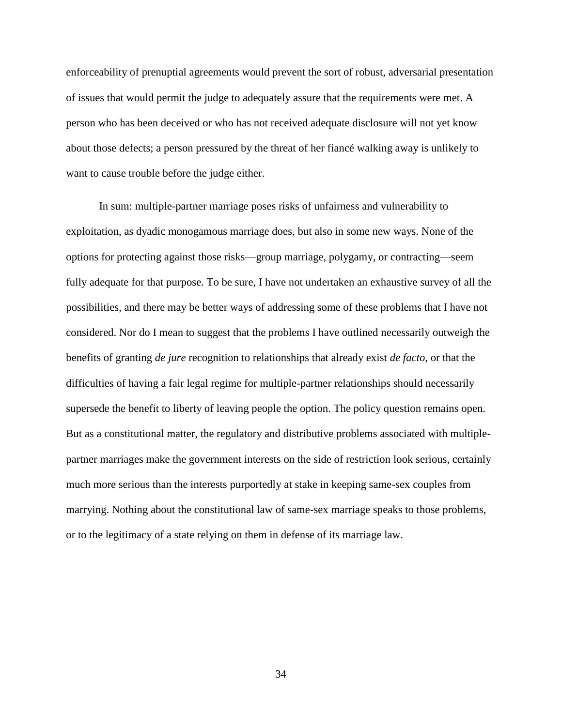enforceability of prenuptial agreements would prevent the sort of robust, adversarial presentation of issues that would permit the judge to adequately assure that the requirements were met. A person who has been deceived or who has not received adequate disclosure will not yet know about those defects; a person pressured by the threat of her fiancé walking away is unlikely to want to cause trouble before the judge either.

In sum: multiple-partner marriage poses risks of unfairness and vulnerability to exploitation, as dyadic monogamous marriage does, but also in some new ways. None of the options for protecting against those risks—group marriage, polygamy, or contracting—seem fully adequate for that purpose. To be sure, I have not undertaken an exhaustive survey of all the possibilities, and there may be better ways of addressing some of these problems that I have not considered. Nor do I mean to suggest that the problems I have outlined necessarily outweigh the benefits of granting *de jure* recognition to relationships that already exist *de facto*, or that the difficulties of having a fair legal regime for multiple-partner relationships should necessarily supersede the benefit to liberty of leaving people the option. The policy question remains open. But as a constitutional matter, the regulatory and distributive problems associated with multiplepartner marriages make the government interests on the side of restriction look serious, certainly much more serious than the interests purportedly at stake in keeping same-sex couples from marrying. Nothing about the constitutional law of same-sex marriage speaks to those problems, or to the legitimacy of a state relying on them in defense of its marriage law.

34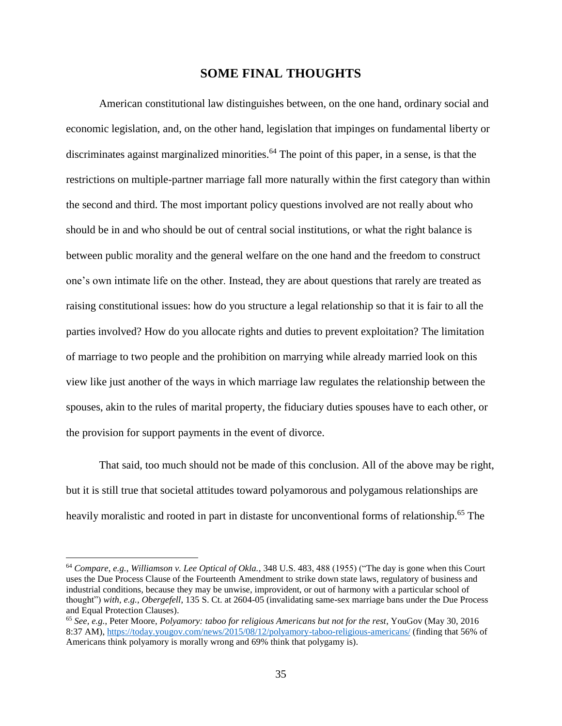#### **SOME FINAL THOUGHTS**

American constitutional law distinguishes between, on the one hand, ordinary social and economic legislation, and, on the other hand, legislation that impinges on fundamental liberty or discriminates against marginalized minorities.<sup>64</sup> The point of this paper, in a sense, is that the restrictions on multiple-partner marriage fall more naturally within the first category than within the second and third. The most important policy questions involved are not really about who should be in and who should be out of central social institutions, or what the right balance is between public morality and the general welfare on the one hand and the freedom to construct one's own intimate life on the other. Instead, they are about questions that rarely are treated as raising constitutional issues: how do you structure a legal relationship so that it is fair to all the parties involved? How do you allocate rights and duties to prevent exploitation? The limitation of marriage to two people and the prohibition on marrying while already married look on this view like just another of the ways in which marriage law regulates the relationship between the spouses, akin to the rules of marital property, the fiduciary duties spouses have to each other, or the provision for support payments in the event of divorce.

That said, too much should not be made of this conclusion. All of the above may be right, but it is still true that societal attitudes toward polyamorous and polygamous relationships are heavily moralistic and rooted in part in distaste for unconventional forms of relationship.<sup>65</sup> The

<sup>64</sup> *Compare*, *e.g.*, *Williamson v. Lee Optical of Okla.*, 348 U.S. 483, 488 (1955) ("The day is gone when this Court uses the Due Process Clause of the Fourteenth Amendment to strike down state laws, regulatory of business and industrial conditions, because they may be unwise, improvident, or out of harmony with a particular school of thought") *with, e.g., Obergefell*, 135 S. Ct. at 2604-05 (invalidating same-sex marriage bans under the Due Process and Equal Protection Clauses).

<sup>65</sup> *See, e.g.*, Peter Moore, *Polyamory: taboo for religious Americans but not for the rest*, YouGov (May 30, 2016 8:37 AM)[, https://today.yougov.com/news/2015/08/12/polyamory-taboo-religious-americans/](https://today.yougov.com/news/2015/08/12/polyamory-taboo-religious-americans/) (finding that 56% of Americans think polyamory is morally wrong and 69% think that polygamy is).